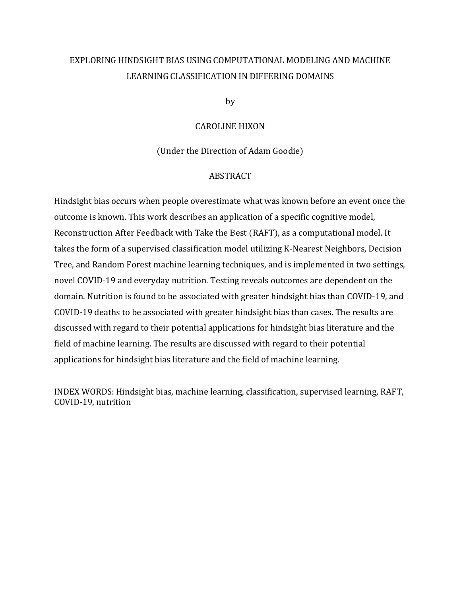# EXPLORING HINDSIGHT BIAS USING COMPUTATIONAL MODELING AND MACHINE LEARNING CLASSIFICATION IN DIFFERING DOMAINS

by

## CAROLINE HIXON

(Under the Direction of Adam Goodie)

## ABSTRACT

Hindsight bias occurs when people overestimate what was known before an event once the outcome is known. This work describes an application of a specific cognitive model, Reconstruction After Feedback with Take the Best (RAFT), as a computational model. It takes the form of a supervised classification model utilizing K-Nearest Neighbors, Decision Tree, and Random Forest machine learning techniques, and is implemented in two settings, novel COVID-19 and everyday nutrition. Testing reveals outcomes are dependent on the domain. Nutrition is found to be associated with greater hindsight bias than COVID-19, and COVID-19 deaths to be associated with greater hindsight bias than cases. The results are discussed with regard to their potential applications for hindsight bias literature and the field of machine learning. The results are discussed with regard to their potential applications for hindsight bias literature and the field of machine learning.

INDEX WORDS: Hindsight bias, machine learning, classification, supervised learning, RAFT, COVID-19, nutrition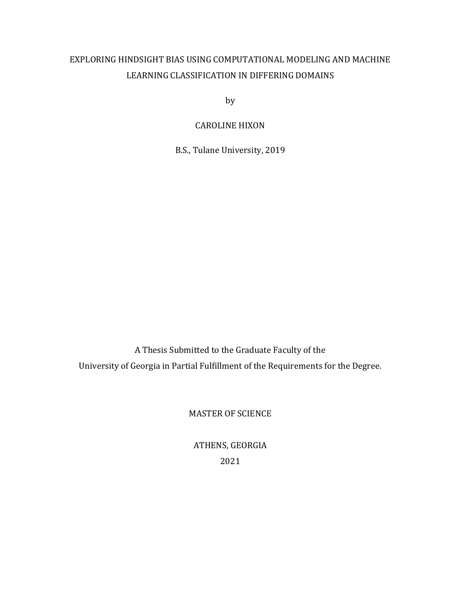# EXPLORING HINDSIGHT BIAS USING COMPUTATIONAL MODELING AND MACHINE LEARNING CLASSIFICATION IN DIFFERING DOMAINS

by

CAROLINE HIXON

B.S., Tulane University, 2019

A Thesis Submitted to the Graduate Faculty of the University of Georgia in Partial Fulfillment of the Requirements for the Degree.

MASTER OF SCIENCE

ATHENS, GEORGIA 2021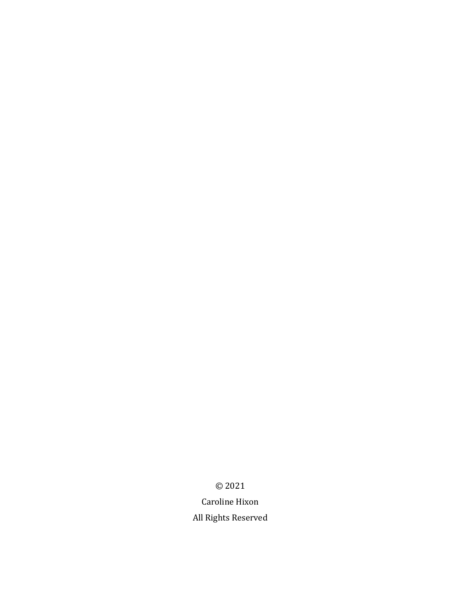© 2021

Caroline Hixon All Rights Reserved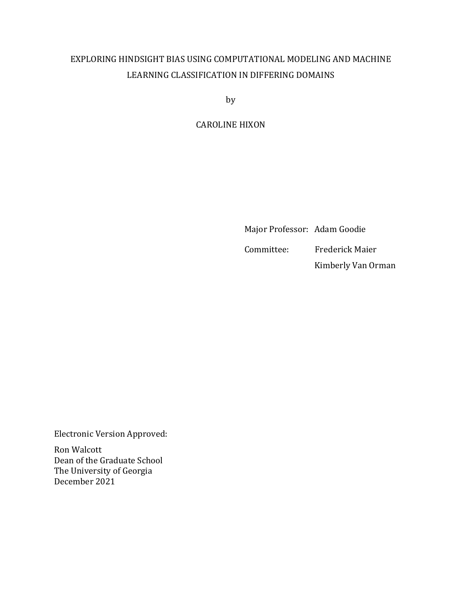# EXPLORING HINDSIGHT BIAS USING COMPUTATIONAL MODELING AND MACHINE LEARNING CLASSIFICATION IN DIFFERING DOMAINS

by

CAROLINE HIXON

Major Professor: Adam Goodie

Committee: Frederick Maier

Kimberly Van Orman

Electronic Version Approved:

Ron Walcott Dean of the Graduate School The University of Georgia December 2021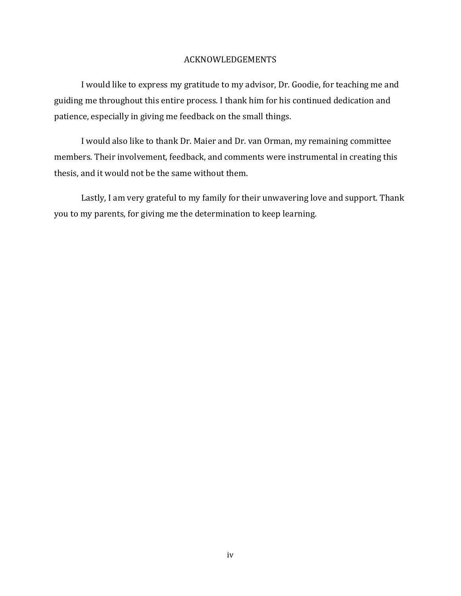## ACKNOWLEDGEMENTS

I would like to express my gratitude to my advisor, Dr. Goodie, for teaching me and guiding me throughout this entire process. I thank him for his continued dedication and patience, especially in giving me feedback on the small things.

I would also like to thank Dr. Maier and Dr. van Orman, my remaining committee members. Their involvement, feedback, and comments were instrumental in creating this thesis, and it would not be the same without them.

Lastly, I am very grateful to my family for their unwavering love and support. Thank you to my parents, for giving me the determination to keep learning.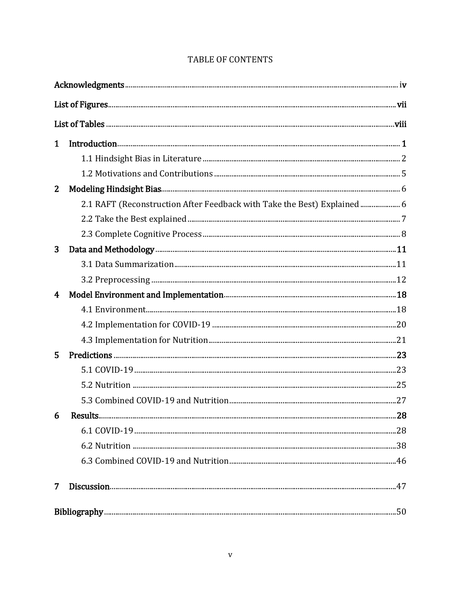| $\mathbf{1}$   |                                                                         |  |  |  |
|----------------|-------------------------------------------------------------------------|--|--|--|
|                |                                                                         |  |  |  |
|                |                                                                         |  |  |  |
| $\overline{2}$ |                                                                         |  |  |  |
|                | 2.1 RAFT (Reconstruction After Feedback with Take the Best) Explained 6 |  |  |  |
|                |                                                                         |  |  |  |
|                |                                                                         |  |  |  |
| 3              |                                                                         |  |  |  |
|                |                                                                         |  |  |  |
|                |                                                                         |  |  |  |
| $\overline{4}$ |                                                                         |  |  |  |
|                |                                                                         |  |  |  |
|                |                                                                         |  |  |  |
|                |                                                                         |  |  |  |
| 5              |                                                                         |  |  |  |
|                |                                                                         |  |  |  |
|                |                                                                         |  |  |  |
|                |                                                                         |  |  |  |
|                |                                                                         |  |  |  |
|                |                                                                         |  |  |  |
|                |                                                                         |  |  |  |
|                |                                                                         |  |  |  |
| $\overline{7}$ |                                                                         |  |  |  |
|                |                                                                         |  |  |  |

## TABLE OF CONTENTS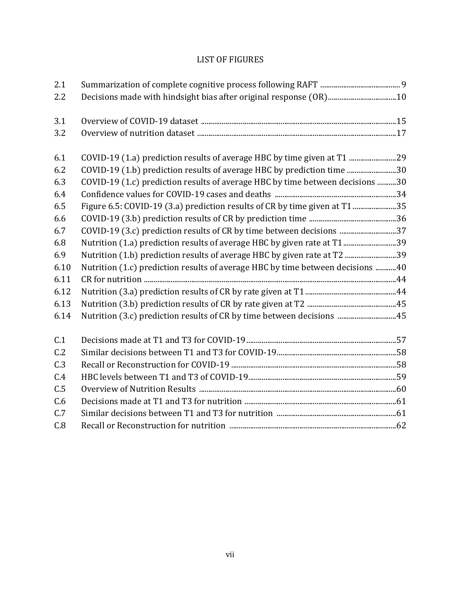## LIST OF FIGURES

| 2.1  |                                                                                |  |
|------|--------------------------------------------------------------------------------|--|
| 2.2  |                                                                                |  |
| 3.1  |                                                                                |  |
| 3.2  |                                                                                |  |
| 6.1  | COVID-19 (1.a) prediction results of average HBC by time given at T1           |  |
| 6.2  | COVID-19 (1.b) prediction results of average HBC by prediction time 30         |  |
| 6.3  | COVID-19 (1.c) prediction results of average HBC by time between decisions 30  |  |
| 6.4  |                                                                                |  |
| 6.5  | Figure 6.5: COVID-19 (3.a) prediction results of CR by time given at T135      |  |
| 6.6  |                                                                                |  |
| 6.7  | COVID-19 (3.c) prediction results of CR by time between decisions 37           |  |
| 6.8  | Nutrition (1.a) prediction results of average HBC by given rate at T139        |  |
| 6.9  | Nutrition (1.b) prediction results of average HBC by given rate at T2 39       |  |
| 6.10 | Nutrition (1.c) prediction results of average HBC by time between decisions 40 |  |
| 6.11 |                                                                                |  |
| 6.12 |                                                                                |  |
| 6.13 |                                                                                |  |
| 6.14 | Nutrition (3.c) prediction results of CR by time between decisions 45          |  |
| C.1  |                                                                                |  |
| C.2  |                                                                                |  |
| C.3  |                                                                                |  |
| C.4  |                                                                                |  |
| C.5  |                                                                                |  |
| C.6  |                                                                                |  |
| C.7  |                                                                                |  |
| C.8  |                                                                                |  |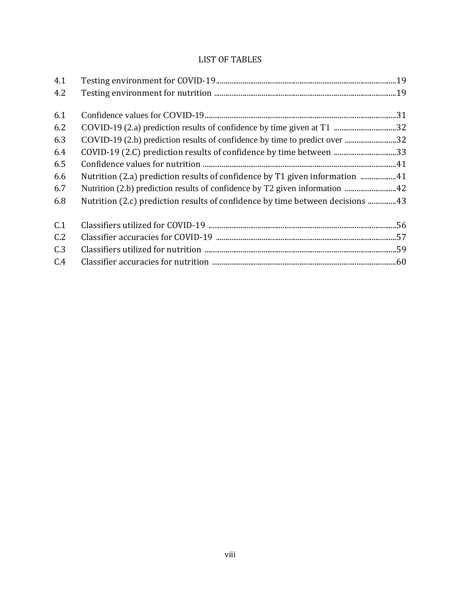## LIST OF TABLES

| 4.1 |                                                                               |  |
|-----|-------------------------------------------------------------------------------|--|
| 4.2 |                                                                               |  |
|     |                                                                               |  |
| 6.1 |                                                                               |  |
| 6.2 |                                                                               |  |
| 6.3 | COVID-19 (2.b) prediction results of confidence by time to predict over 32    |  |
| 6.4 | COVID-19 (2.C) prediction results of confidence by time between 33            |  |
| 6.5 |                                                                               |  |
| 6.6 | Nutrition (2.a) prediction results of confidence by T1 given information 41   |  |
| 6.7 |                                                                               |  |
| 6.8 | Nutrition (2.c) prediction results of confidence by time between decisions 43 |  |
| C.1 |                                                                               |  |
| C.2 |                                                                               |  |
| C.3 |                                                                               |  |
| C.4 |                                                                               |  |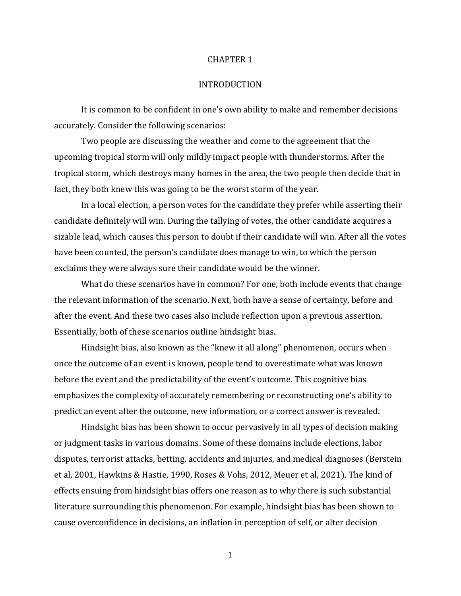#### CHAPTER 1

## INTRODUCTION

It is common to be confident in one's own ability to make and remember decisions accurately. Consider the following scenarios:

Two people are discussing the weather and come to the agreement that the upcoming tropical storm will only mildly impact people with thunderstorms. After the tropical storm, which destroys many homes in the area, the two people then decide that in fact, they both knew this was going to be the worst storm of the year.

In a local election, a person votes for the candidate they prefer while asserting their candidate definitely will win. During the tallying of votes, the other candidate acquires a sizable lead, which causes this person to doubt if their candidate will win. After all the votes have been counted, the person's candidate does manage to win, to which the person exclaims they were always sure their candidate would be the winner.

What do these scenarios have in common? For one, both include events that change the relevant information of the scenario. Next, both have a sense of certainty, before and after the event. And these two cases also include reflection upon a previous assertion. Essentially, both of these scenarios outline hindsight bias.

Hindsight bias, also known as the "knew it all along" phenomenon, occurs when once the outcome of an event is known, people tend to overestimate what was known before the event and the predictability of the event's outcome. This cognitive bias emphasizes the complexity of accurately remembering or reconstructing one's ability to predict an event after the outcome, new information, or a correct answer is revealed.

Hindsight bias has been shown to occur pervasively in all types of decision making or judgment tasks in various domains. Some of these domains include elections, labor disputes, terrorist attacks, betting, accidents and injuries, and medical diagnoses (Berstein et al, 2001, Hawkins & Hastie, 1990, Roses & Vohs, 2012, Meuer et al, 2021). The kind of effects ensuing from hindsight bias offers one reason as to why there is such substantial literature surrounding this phenomenon. For example, hindsight bias has been shown to cause overconfidence in decisions, an inflation in perception of self, or alter decision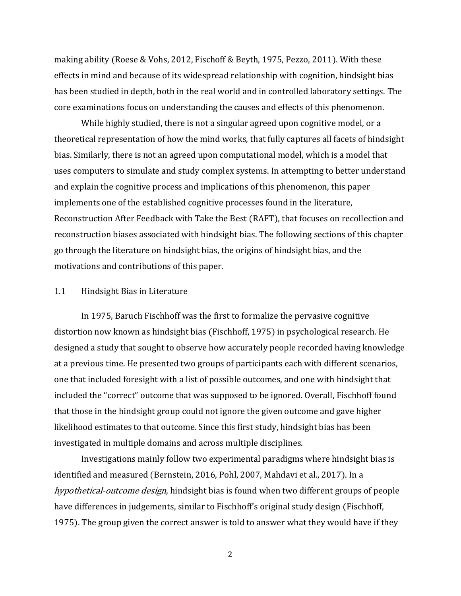making ability (Roese & Vohs, 2012, Fischoff & Beyth, 1975, Pezzo, 2011). With these effects in mind and because of its widespread relationship with cognition, hindsight bias has been studied in depth, both in the real world and in controlled laboratory settings. The core examinations focus on understanding the causes and effects of this phenomenon.

While highly studied, there is not a singular agreed upon cognitive model, or a theoretical representation of how the mind works, that fully captures all facets of hindsight bias. Similarly, there is not an agreed upon computational model, which is a model that uses computers to simulate and study complex systems. In attempting to better understand and explain the cognitive process and implications of this phenomenon, this paper implements one of the established cognitive processes found in the literature, Reconstruction After Feedback with Take the Best (RAFT), that focuses on recollection and reconstruction biases associated with hindsight bias. The following sections of this chapter go through the literature on hindsight bias, the origins of hindsight bias, and the motivations and contributions of this paper.

## 1.1 Hindsight Bias in Literature

In 1975, Baruch Fischhoff was the first to formalize the pervasive cognitive distortion now known as hindsight bias (Fischhoff, 1975) in psychological research. He designed a study that sought to observe how accurately people recorded having knowledge at a previous time. He presented two groups of participants each with different scenarios, one that included foresight with a list of possible outcomes, and one with hindsight that included the "correct" outcome that was supposed to be ignored. Overall, Fischhoff found that those in the hindsight group could not ignore the given outcome and gave higher likelihood estimates to that outcome. Since this first study, hindsight bias has been investigated in multiple domains and across multiple disciplines.

Investigations mainly follow two experimental paradigms where hindsight bias is identified and measured (Bernstein, 2016, Pohl, 2007, Mahdavi et al., 2017). In a hypothetical-outcome design, hindsight bias is found when two different groups of people have differences in judgements, similar to Fischhoff's original study design (Fischhoff, 1975). The group given the correct answer is told to answer what they would have if they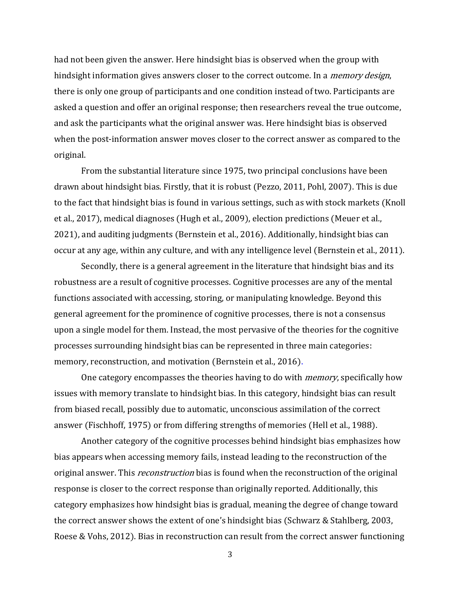had not been given the answer. Here hindsight bias is observed when the group with hindsight information gives answers closer to the correct outcome. In a *memory design*, there is only one group of participants and one condition instead of two. Participants are asked a question and offer an original response; then researchers reveal the true outcome, and ask the participants what the original answer was. Here hindsight bias is observed when the post-information answer moves closer to the correct answer as compared to the original.

From the substantial literature since 1975, two principal conclusions have been drawn about hindsight bias. Firstly, that it is robust (Pezzo, 2011, Pohl, 2007). This is due to the fact that hindsight bias is found in various settings, such as with stock markets (Knoll et al., 2017), medical diagnoses (Hugh et al., 2009), election predictions (Meuer et al., 2021), and auditing judgments (Bernstein et al., 2016). Additionally, hindsight bias can occur at any age, within any culture, and with any intelligence level (Bernstein et al., 2011).

Secondly, there is a general agreement in the literature that hindsight bias and its robustness are a result of cognitive processes. Cognitive processes are any of the mental functions associated with accessing, storing, or manipulating knowledge. Beyond this general agreement for the prominence of cognitive processes, there is not a consensus upon a single model for them. Instead, the most pervasive of the theories for the cognitive processes surrounding hindsight bias can be represented in three main categories: memory, reconstruction, and motivation (Bernstein et al., 2016).

One category encompasses the theories having to do with *memory*, specifically how issues with memory translate to hindsight bias. In this category, hindsight bias can result from biased recall, possibly due to automatic, unconscious assimilation of the correct answer (Fischhoff, 1975) or from differing strengths of memories (Hell et al., 1988).

Another category of the cognitive processes behind hindsight bias emphasizes how bias appears when accessing memory fails, instead leading to the reconstruction of the original answer. This *reconstruction* bias is found when the reconstruction of the original response is closer to the correct response than originally reported. Additionally, this category emphasizes how hindsight bias is gradual, meaning the degree of change toward the correct answer shows the extent of one's hindsight bias (Schwarz & Stahlberg, 2003, Roese & Vohs, 2012). Bias in reconstruction can result from the correct answer functioning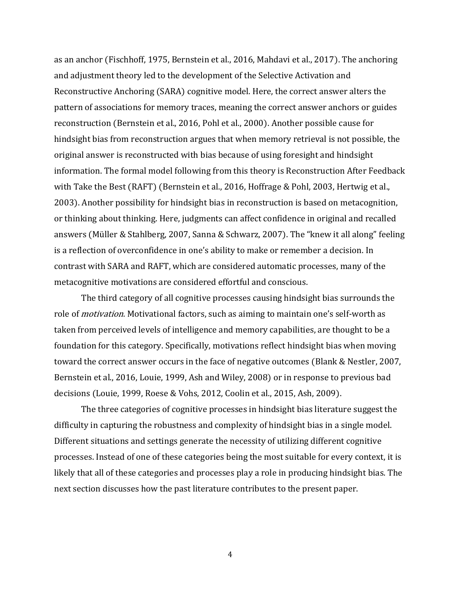as an anchor (Fischhoff, 1975, Bernstein et al., 2016, Mahdavi et al., 2017). The anchoring and adjustment theory led to the development of the Selective Activation and Reconstructive Anchoring (SARA) cognitive model. Here, the correct answer alters the pattern of associations for memory traces, meaning the correct answer anchors or guides reconstruction (Bernstein et al., 2016, Pohl et al., 2000). Another possible cause for hindsight bias from reconstruction argues that when memory retrieval is not possible, the original answer is reconstructed with bias because of using foresight and hindsight information. The formal model following from this theory is Reconstruction After Feedback with Take the Best (RAFT) (Bernstein et al., 2016, Hoffrage & Pohl, 2003, Hertwig et al., 2003). Another possibility for hindsight bias in reconstruction is based on metacognition, or thinking about thinking. Here, judgments can affect confidence in original and recalled answers (Müller & Stahlberg, 2007, Sanna & Schwarz, 2007). The "knew it all along" feeling is a reflection of overconfidence in one's ability to make or remember a decision. In contrast with SARA and RAFT, which are considered automatic processes, many of the metacognitive motivations are considered effortful and conscious.

The third category of all cognitive processes causing hindsight bias surrounds the role of *motivation*. Motivational factors, such as aiming to maintain one's self-worth as taken from perceived levels of intelligence and memory capabilities, are thought to be a foundation for this category. Specifically, motivations reflect hindsight bias when moving toward the correct answer occurs in the face of negative outcomes (Blank & Nestler, 2007, Bernstein et al., 2016, Louie, 1999, Ash and Wiley, 2008) or in response to previous bad decisions (Louie, 1999, Roese & Vohs, 2012, Coolin et al., 2015, Ash, 2009).

The three categories of cognitive processes in hindsight bias literature suggest the difficulty in capturing the robustness and complexity of hindsight bias in a single model. Different situations and settings generate the necessity of utilizing different cognitive processes. Instead of one of these categories being the most suitable for every context, it is likely that all of these categories and processes play a role in producing hindsight bias. The next section discusses how the past literature contributes to the present paper.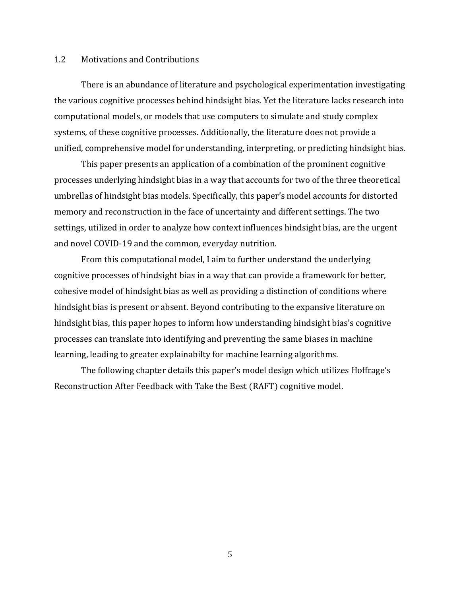## 1.2 Motivations and Contributions

There is an abundance of literature and psychological experimentation investigating the various cognitive processes behind hindsight bias. Yet the literature lacks research into computational models, or models that use computers to simulate and study complex systems, of these cognitive processes. Additionally, the literature does not provide a unified, comprehensive model for understanding, interpreting, or predicting hindsight bias.

This paper presents an application of a combination of the prominent cognitive processes underlying hindsight bias in a way that accounts for two of the three theoretical umbrellas of hindsight bias models. Specifically, this paper's model accounts for distorted memory and reconstruction in the face of uncertainty and different settings. The two settings, utilized in order to analyze how context influences hindsight bias, are the urgent and novel COVID-19 and the common, everyday nutrition.

From this computational model, I aim to further understand the underlying cognitive processes of hindsight bias in a way that can provide a framework for better, cohesive model of hindsight bias as well as providing a distinction of conditions where hindsight bias is present or absent. Beyond contributing to the expansive literature on hindsight bias, this paper hopes to inform how understanding hindsight bias's cognitive processes can translate into identifying and preventing the same biases in machine learning, leading to greater explainabilty for machine learning algorithms.

The following chapter details this paper's model design which utilizes Hoffrage's Reconstruction After Feedback with Take the Best (RAFT) cognitive model.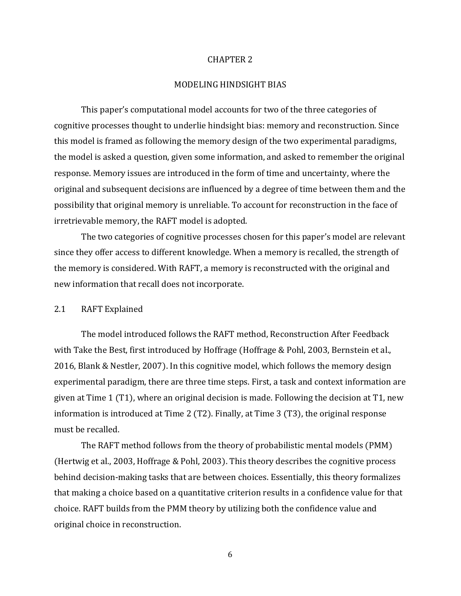#### CHAPTER 2

## MODELING HINDSIGHT BIAS

This paper's computational model accounts for two of the three categories of cognitive processes thought to underlie hindsight bias: memory and reconstruction. Since this model is framed as following the memory design of the two experimental paradigms, the model is asked a question, given some information, and asked to remember the original response. Memory issues are introduced in the form of time and uncertainty, where the original and subsequent decisions are influenced by a degree of time between them and the possibility that original memory is unreliable. To account for reconstruction in the face of irretrievable memory, the RAFT model is adopted.

The two categories of cognitive processes chosen for this paper's model are relevant since they offer access to different knowledge. When a memory is recalled, the strength of the memory is considered. With RAFT, a memory is reconstructed with the original and new information that recall does not incorporate.

#### 2.1 RAFT Explained

The model introduced follows the RAFT method, Reconstruction After Feedback with Take the Best, first introduced by Hoffrage (Hoffrage & Pohl, 2003, Bernstein et al., 2016, Blank & Nestler, 2007). In this cognitive model, which follows the memory design experimental paradigm, there are three time steps. First, a task and context information are given at Time 1 (T1), where an original decision is made. Following the decision at T1, new information is introduced at Time 2 (T2). Finally, at Time 3 (T3), the original response must be recalled.

The RAFT method follows from the theory of probabilistic mental models (PMM) (Hertwig et al., 2003, Hoffrage & Pohl, 2003). This theory describes the cognitive process behind decision-making tasks that are between choices. Essentially, this theory formalizes that making a choice based on a quantitative criterion results in a confidence value for that choice. RAFT builds from the PMM theory by utilizing both the confidence value and original choice in reconstruction.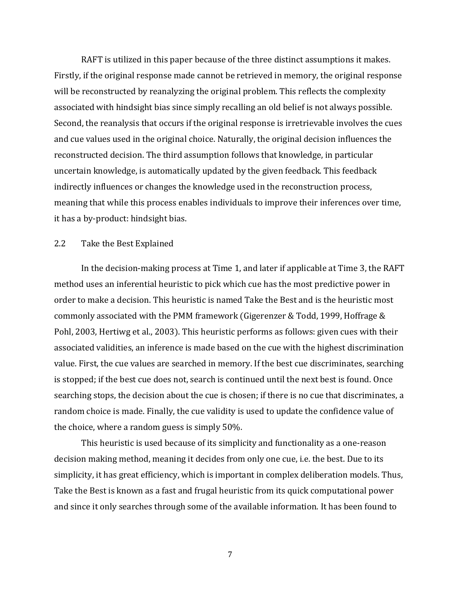RAFT is utilized in this paper because of the three distinct assumptions it makes. Firstly, if the original response made cannot be retrieved in memory, the original response will be reconstructed by reanalyzing the original problem. This reflects the complexity associated with hindsight bias since simply recalling an old belief is not always possible. Second, the reanalysis that occurs if the original response is irretrievable involves the cues and cue values used in the original choice. Naturally, the original decision influences the reconstructed decision. The third assumption follows that knowledge, in particular uncertain knowledge, is automatically updated by the given feedback. This feedback indirectly influences or changes the knowledge used in the reconstruction process, meaning that while this process enables individuals to improve their inferences over time, it has a by-product: hindsight bias.

#### 2.2 Take the Best Explained

In the decision-making process at Time 1, and later if applicable at Time 3, the RAFT method uses an inferential heuristic to pick which cue has the most predictive power in order to make a decision. This heuristic is named Take the Best and is the heuristic most commonly associated with the PMM framework (Gigerenzer & Todd, 1999, Hoffrage & Pohl, 2003, Hertiwg et al., 2003). This heuristic performs as follows: given cues with their associated validities, an inference is made based on the cue with the highest discrimination value. First, the cue values are searched in memory. If the best cue discriminates, searching is stopped; if the best cue does not, search is continued until the next best is found. Once searching stops, the decision about the cue is chosen; if there is no cue that discriminates, a random choice is made. Finally, the cue validity is used to update the confidence value of the choice, where a random guess is simply 50%.

This heuristic is used because of its simplicity and functionality as a one-reason decision making method, meaning it decides from only one cue, i.e. the best. Due to its simplicity, it has great efficiency, which is important in complex deliberation models. Thus, Take the Best is known as a fast and frugal heuristic from its quick computational power and since it only searches through some of the available information. It has been found to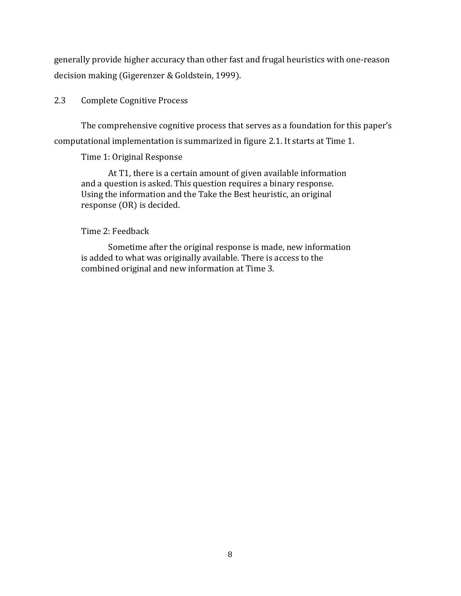generally provide higher accuracy than other fast and frugal heuristics with one-reason decision making (Gigerenzer & Goldstein, 1999).

## 2.3 Complete Cognitive Process

The comprehensive cognitive process that serves as a foundation for this paper's computational implementation is summarized in figure 2.1. It starts at Time 1.

## Time 1: Original Response

At T1, there is a certain amount of given available information and a question is asked. This question requires a binary response. Using the information and the Take the Best heuristic, an original response (OR) is decided.

## Time 2: Feedback

Sometime after the original response is made, new information is added to what was originally available. There is access to the combined original and new information at Time 3.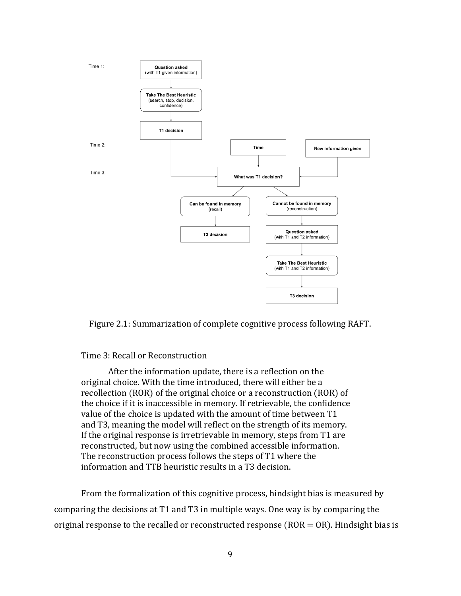

Figure 2.1: Summarization of complete cognitive process following RAFT.

## Time 3: Recall or Reconstruction

After the information update, there is a reflection on the original choice. With the time introduced, there will either be a recollection (ROR) of the original choice or a reconstruction (ROR) of the choice if it is inaccessible in memory. If retrievable, the confidence value of the choice is updated with the amount of time between T1 and T3, meaning the model will reflect on the strength of its memory. If the original response is irretrievable in memory, steps from T1 are reconstructed, but now using the combined accessible information. The reconstruction process follows the steps of T1 where the information and TTB heuristic results in a T3 decision.

From the formalization of this cognitive process, hindsight bias is measured by comparing the decisions at T1 and T3 in multiple ways. One way is by comparing the original response to the recalled or reconstructed response ( $ROR = OR$ ). Hindsight bias is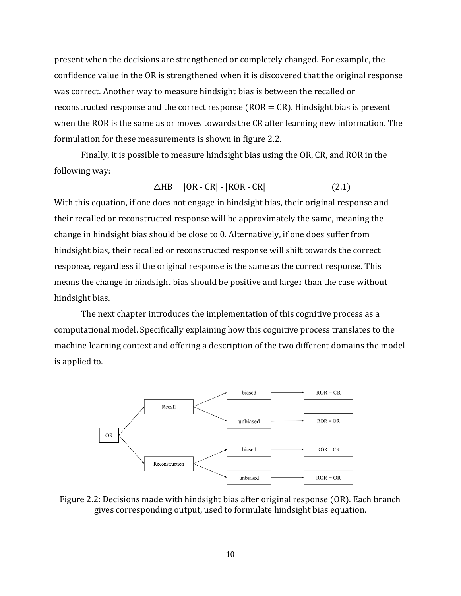present when the decisions are strengthened or completely changed. For example, the confidence value in the OR is strengthened when it is discovered that the original response was correct. Another way to measure hindsight bias is between the recalled or reconstructed response and the correct response ( $ROR = CR$ ). Hindsight bias is present when the ROR is the same as or moves towards the CR after learning new information. The formulation for these measurements is shown in figure 2.2.

Finally, it is possible to measure hindsight bias using the OR, CR, and ROR in the following way:

$$
\triangle HB = |OR - CR| - |ROR - CR| \tag{2.1}
$$

With this equation, if one does not engage in hindsight bias, their original response and their recalled or reconstructed response will be approximately the same, meaning the change in hindsight bias should be close to 0. Alternatively, if one does suffer from hindsight bias, their recalled or reconstructed response will shift towards the correct response, regardless if the original response is the same as the correct response. This means the change in hindsight bias should be positive and larger than the case without hindsight bias.

The next chapter introduces the implementation of this cognitive process as a computational model. Specifically explaining how this cognitive process translates to the machine learning context and offering a description of the two different domains the model is applied to.



Figure 2.2: Decisions made with hindsight bias after original response (OR). Each branch gives corresponding output, used to formulate hindsight bias equation.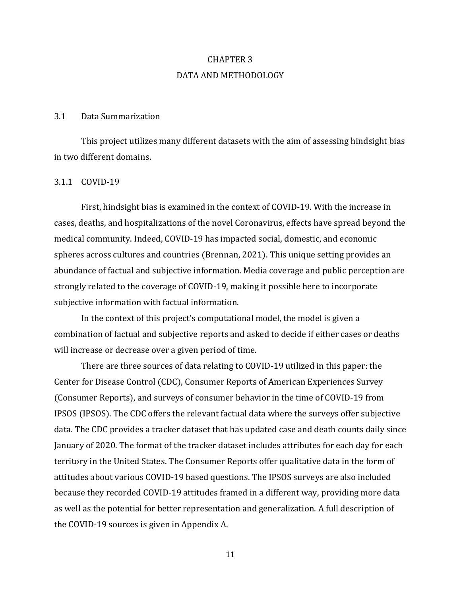# CHAPTER 3 DATA AND METHODOLOGY

## 3.1 Data Summarization

This project utilizes many different datasets with the aim of assessing hindsight bias in two different domains.

### 3.1.1 COVID-19

First, hindsight bias is examined in the context of COVID-19. With the increase in cases, deaths, and hospitalizations of the novel Coronavirus, effects have spread beyond the medical community. Indeed, COVID-19 has impacted social, domestic, and economic spheres across cultures and countries (Brennan, 2021). This unique setting provides an abundance of factual and subjective information. Media coverage and public perception are strongly related to the coverage of COVID-19, making it possible here to incorporate subjective information with factual information.

In the context of this project's computational model, the model is given a combination of factual and subjective reports and asked to decide if either cases or deaths will increase or decrease over a given period of time.

There are three sources of data relating to COVID-19 utilized in this paper: the Center for Disease Control (CDC), Consumer Reports of American Experiences Survey (Consumer Reports), and surveys of consumer behavior in the time of COVID-19 from IPSOS (IPSOS). The CDC offers the relevant factual data where the surveys offer subjective data. The CDC provides a tracker dataset that has updated case and death counts daily since January of 2020. The format of the tracker dataset includes attributes for each day for each territory in the United States. The Consumer Reports offer qualitative data in the form of attitudes about various COVID-19 based questions. The IPSOS surveys are also included because they recorded COVID-19 attitudes framed in a different way, providing more data as well as the potential for better representation and generalization. A full description of the COVID-19 sources is given in Appendix A.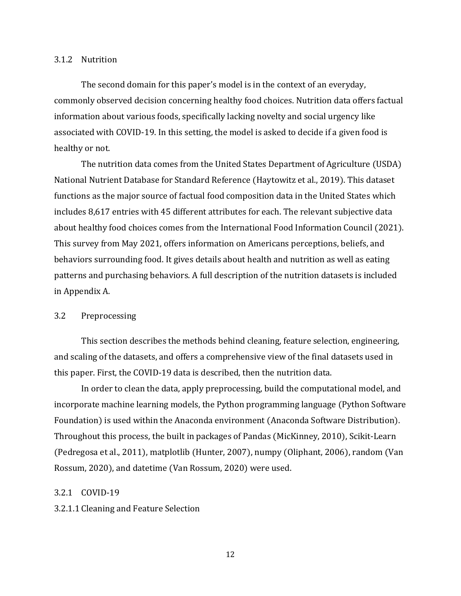#### 3.1.2 Nutrition

The second domain for this paper's model is in the context of an everyday, commonly observed decision concerning healthy food choices. Nutrition data offers factual information about various foods, specifically lacking novelty and social urgency like associated with COVID-19. In this setting, the model is asked to decide if a given food is healthy or not.

The nutrition data comes from the United States Department of Agriculture (USDA) National Nutrient Database for Standard Reference (Haytowitz et al., 2019). This dataset functions as the major source of factual food composition data in the United States which includes 8,617 entries with 45 different attributes for each. The relevant subjective data about healthy food choices comes from the International Food Information Council (2021). This survey from May 2021, offers information on Americans perceptions, beliefs, and behaviors surrounding food. It gives details about health and nutrition as well as eating patterns and purchasing behaviors. A full description of the nutrition datasets is included in Appendix A.

#### 3.2 Preprocessing

This section describes the methods behind cleaning, feature selection, engineering, and scaling of the datasets, and offers a comprehensive view of the final datasets used in this paper. First, the COVID-19 data is described, then the nutrition data.

In order to clean the data, apply preprocessing, build the computational model, and incorporate machine learning models, the Python programming language (Python Software Foundation) is used within the Anaconda environment (Anaconda Software Distribution). Throughout this process, the built in packages of Pandas (MicKinney, 2010), Scikit-Learn (Pedregosa et al., 2011), matplotlib (Hunter, 2007), numpy (Oliphant, 2006), random (Van Rossum, 2020), and datetime (Van Rossum, 2020) were used.

#### 3.2.1 COVID-19

#### 3.2.1.1 Cleaning and Feature Selection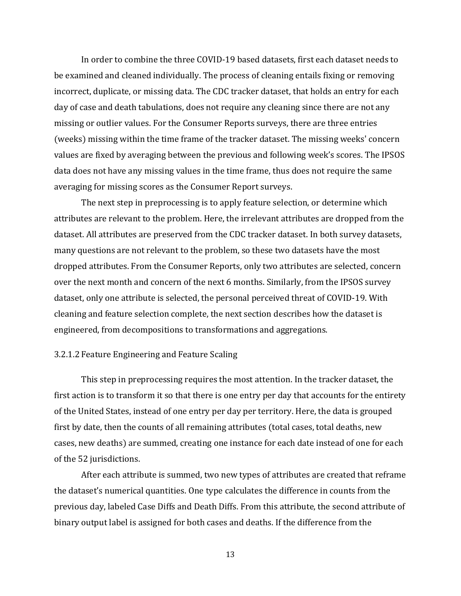In order to combine the three COVID-19 based datasets, first each dataset needs to be examined and cleaned individually. The process of cleaning entails fixing or removing incorrect, duplicate, or missing data. The CDC tracker dataset, that holds an entry for each day of case and death tabulations, does not require any cleaning since there are not any missing or outlier values. For the Consumer Reports surveys, there are three entries (weeks) missing within the time frame of the tracker dataset. The missing weeks' concern values are fixed by averaging between the previous and following week's scores. The IPSOS data does not have any missing values in the time frame, thus does not require the same averaging for missing scores as the Consumer Report surveys.

The next step in preprocessing is to apply feature selection, or determine which attributes are relevant to the problem. Here, the irrelevant attributes are dropped from the dataset. All attributes are preserved from the CDC tracker dataset. In both survey datasets, many questions are not relevant to the problem, so these two datasets have the most dropped attributes. From the Consumer Reports, only two attributes are selected, concern over the next month and concern of the next 6 months. Similarly, from the IPSOS survey dataset, only one attribute is selected, the personal perceived threat of COVID-19. With cleaning and feature selection complete, the next section describes how the dataset is engineered, from decompositions to transformations and aggregations.

#### 3.2.1.2 Feature Engineering and Feature Scaling

This step in preprocessing requires the most attention. In the tracker dataset, the first action is to transform it so that there is one entry per day that accounts for the entirety of the United States, instead of one entry per day per territory. Here, the data is grouped first by date, then the counts of all remaining attributes (total cases, total deaths, new cases, new deaths) are summed, creating one instance for each date instead of one for each of the 52 jurisdictions.

After each attribute is summed, two new types of attributes are created that reframe the dataset's numerical quantities. One type calculates the difference in counts from the previous day, labeled Case Diffs and Death Diffs. From this attribute, the second attribute of binary output label is assigned for both cases and deaths. If the difference from the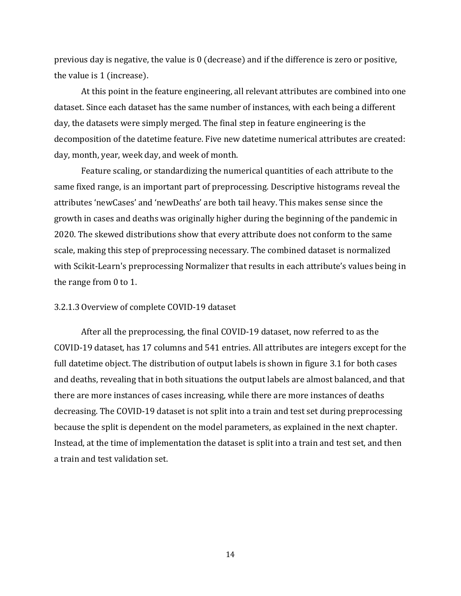previous day is negative, the value is 0 (decrease) and if the difference is zero or positive, the value is 1 (increase).

At this point in the feature engineering, all relevant attributes are combined into one dataset. Since each dataset has the same number of instances, with each being a different day, the datasets were simply merged. The final step in feature engineering is the decomposition of the datetime feature. Five new datetime numerical attributes are created: day, month, year, week day, and week of month.

Feature scaling, or standardizing the numerical quantities of each attribute to the same fixed range, is an important part of preprocessing. Descriptive histograms reveal the attributes 'newCases' and 'newDeaths' are both tail heavy. This makes sense since the growth in cases and deaths was originally higher during the beginning of the pandemic in 2020. The skewed distributions show that every attribute does not conform to the same scale, making this step of preprocessing necessary. The combined dataset is normalized with Scikit-Learn's preprocessing Normalizer that results in each attribute's values being in the range from 0 to 1.

## 3.2.1.3 Overview of complete COVID-19 dataset

After all the preprocessing, the final COVID-19 dataset, now referred to as the COVID-19 dataset, has 17 columns and 541 entries. All attributes are integers except for the full datetime object. The distribution of output labels is shown in figure 3.1 for both cases and deaths, revealing that in both situations the output labels are almost balanced, and that there are more instances of cases increasing, while there are more instances of deaths decreasing. The COVID-19 dataset is not split into a train and test set during preprocessing because the split is dependent on the model parameters, as explained in the next chapter. Instead, at the time of implementation the dataset is split into a train and test set, and then a train and test validation set.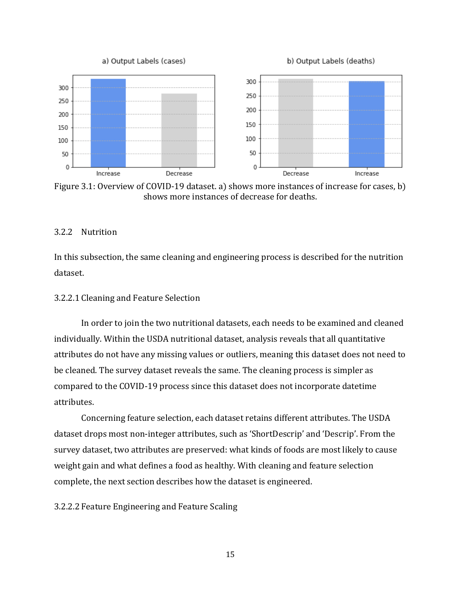

Figure 3.1: Overview of COVID-19 dataset. a) shows more instances of increase for cases, b) shows more instances of decrease for deaths.

## 3.2.2 Nutrition

In this subsection, the same cleaning and engineering process is described for the nutrition dataset.

### 3.2.2.1 Cleaning and Feature Selection

In order to join the two nutritional datasets, each needs to be examined and cleaned individually. Within the USDA nutritional dataset, analysis reveals that all quantitative attributes do not have any missing values or outliers, meaning this dataset does not need to be cleaned. The survey dataset reveals the same. The cleaning process is simpler as compared to the COVID-19 process since this dataset does not incorporate datetime attributes.

Concerning feature selection, each dataset retains different attributes. The USDA dataset drops most non-integer attributes, such as 'ShortDescrip' and 'Descrip'. From the survey dataset, two attributes are preserved: what kinds of foods are most likely to cause weight gain and what defines a food as healthy. With cleaning and feature selection complete, the next section describes how the dataset is engineered.

#### 3.2.2.2 Feature Engineering and Feature Scaling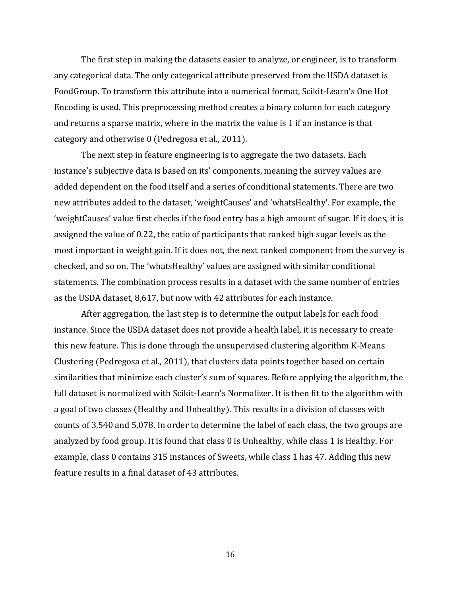The first step in making the datasets easier to analyze, or engineer, is to transform any categorical data. The only categorical attribute preserved from the USDA dataset is FoodGroup. To transform this attribute into a numerical format, Scikit-Learn's One Hot Encoding is used. This preprocessing method creates a binary column for each category and returns a sparse matrix, where in the matrix the value is 1 if an instance is that category and otherwise 0 (Pedregosa et al., 2011).

The next step in feature engineering is to aggregate the two datasets. Each instance's subjective data is based on its' components, meaning the survey values are added dependent on the food itself and a series of conditional statements. There are two new attributes added to the dataset, 'weightCauses' and 'whatsHealthy'. For example, the 'weightCauses' value first checks if the food entry has a high amount of sugar. If it does, it is assigned the value of 0.22, the ratio of participants that ranked high sugar levels as the most important in weight gain. If it does not, the next ranked component from the survey is checked, and so on. The 'whatsHealthy' values are assigned with similar conditional statements. The combination process results in a dataset with the same number of entries as the USDA dataset, 8,617, but now with 42 attributes for each instance.

After aggregation, the last step is to determine the output labels for each food instance. Since the USDA dataset does not provide a health label, it is necessary to create this new feature. This is done through the unsupervised clustering algorithm K-Means Clustering (Pedregosa et al., 2011), that clusters data points together based on certain similarities that minimize each cluster's sum of squares. Before applying the algorithm, the full dataset is normalized with Scikit-Learn's Normalizer. It is then fit to the algorithm with a goal of two classes (Healthy and Unhealthy). This results in a division of classes with counts of 3,540 and 5,078. In order to determine the label of each class, the two groups are analyzed by food group. It is found that class 0 is Unhealthy, while class 1 is Healthy. For example, class 0 contains 315 instances of Sweets, while class 1 has 47. Adding this new feature results in a final dataset of 43 attributes.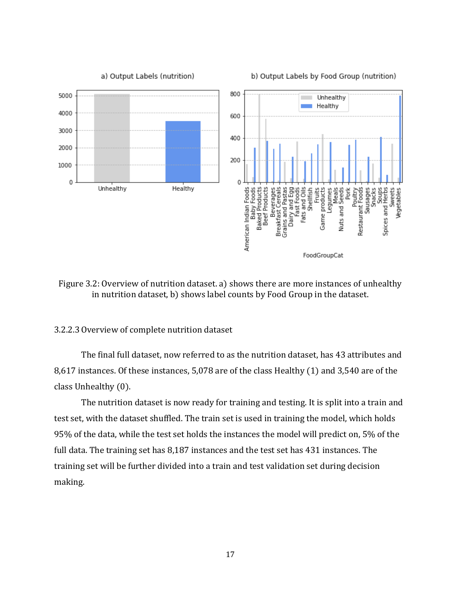

Figure 3.2: Overview of nutrition dataset. a) shows there are more instances of unhealthy in nutrition dataset, b) shows label counts by Food Group in the dataset.

#### 3.2.2.3 Overview of complete nutrition dataset

The final full dataset, now referred to as the nutrition dataset, has 43 attributes and 8,617 instances. Of these instances, 5,078 are of the class Healthy (1) and 3,540 are of the class Unhealthy (0).

The nutrition dataset is now ready for training and testing. It is split into a train and test set, with the dataset shuffled. The train set is used in training the model, which holds 95% of the data, while the test set holds the instances the model will predict on, 5% of the full data. The training set has 8,187 instances and the test set has 431 instances. The training set will be further divided into a train and test validation set during decision making.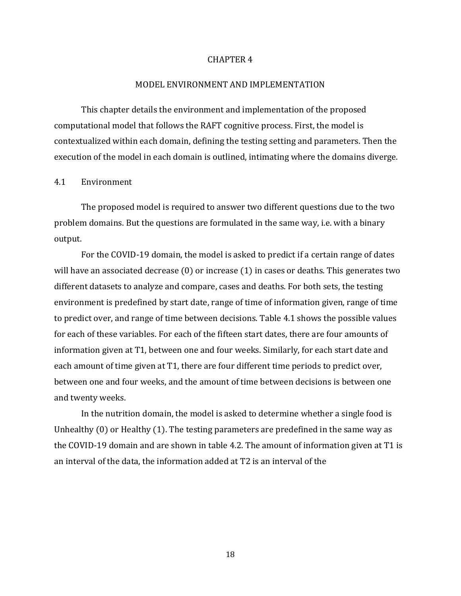#### CHAPTER 4

## MODEL ENVIRONMENT AND IMPLEMENTATION

This chapter details the environment and implementation of the proposed computational model that follows the RAFT cognitive process. First, the model is contextualized within each domain, defining the testing setting and parameters. Then the execution of the model in each domain is outlined, intimating where the domains diverge.

### 4.1 Environment

The proposed model is required to answer two different questions due to the two problem domains. But the questions are formulated in the same way, i.e. with a binary output.

For the COVID-19 domain, the model is asked to predict if a certain range of dates will have an associated decrease (0) or increase (1) in cases or deaths. This generates two different datasets to analyze and compare, cases and deaths. For both sets, the testing environment is predefined by start date, range of time of information given, range of time to predict over, and range of time between decisions. Table 4.1 shows the possible values for each of these variables. For each of the fifteen start dates, there are four amounts of information given at T1, between one and four weeks. Similarly, for each start date and each amount of time given at T1, there are four different time periods to predict over, between one and four weeks, and the amount of time between decisions is between one and twenty weeks.

In the nutrition domain, the model is asked to determine whether a single food is Unhealthy (0) or Healthy (1). The testing parameters are predefined in the same way as the COVID-19 domain and are shown in table 4.2. The amount of information given at T1 is an interval of the data, the information added at T2 is an interval of the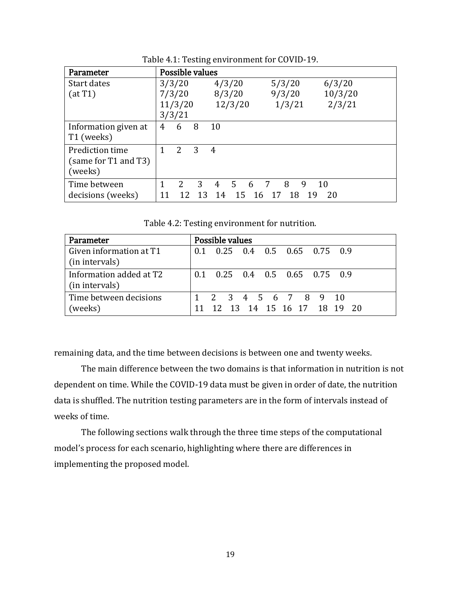| Parameter            | Possible values |         |                |                 |                          |         |
|----------------------|-----------------|---------|----------------|-----------------|--------------------------|---------|
| Start dates          |                 | 3/3/20  |                | 4/3/20          | 5/3/20                   | 6/3/20  |
| (at T1)              | 7/3/20          |         |                | 8/3/20          | 9/3/20                   | 10/3/20 |
|                      |                 | 11/3/20 |                | 12/3/20         | 1/3/21                   | 2/3/21  |
|                      |                 | 3/3/21  |                |                 |                          |         |
| Information given at | 4               | 6       | 8              | 10              |                          |         |
| T1 (weeks)           |                 |         |                |                 |                          |         |
| Prediction time      | 1               | 2       | 3              | $\overline{4}$  |                          |         |
| (same for T1 and T3) |                 |         |                |                 |                          |         |
| (weeks)              |                 |         |                |                 |                          |         |
| Time between         | 1               | 2       | $\overline{3}$ | $5\quad 6$<br>4 | $\overline{7}$<br>8<br>9 | -10     |
| decisions (weeks)    |                 |         | 12 13          | 14<br>15 16 17  | 18<br>- 19               | -20     |

Table 4.1: Testing environment for COVID-19.

Table 4.2: Testing environment for nutrition.

| <b>Parameter</b>                          | Possible values                                    |
|-------------------------------------------|----------------------------------------------------|
| Given information at T1<br>(in intervals) | 0.1 0.25 0.4 0.5 0.65 0.75 0.9                     |
| Information added at T2<br>(in intervals) | $0.1$ $0.25$ $0.4$ $0.5$ $0.65$ $0.75$ $0.9$       |
| Time between decisions<br>(weeks)         | 1 2 3 4 5 6 7 8 9 10<br>12 13 14 15 16 17 18 19 20 |

remaining data, and the time between decisions is between one and twenty weeks.

The main difference between the two domains is that information in nutrition is not dependent on time. While the COVID-19 data must be given in order of date, the nutrition data is shuffled. The nutrition testing parameters are in the form of intervals instead of weeks of time.

The following sections walk through the three time steps of the computational model's process for each scenario, highlighting where there are differences in implementing the proposed model.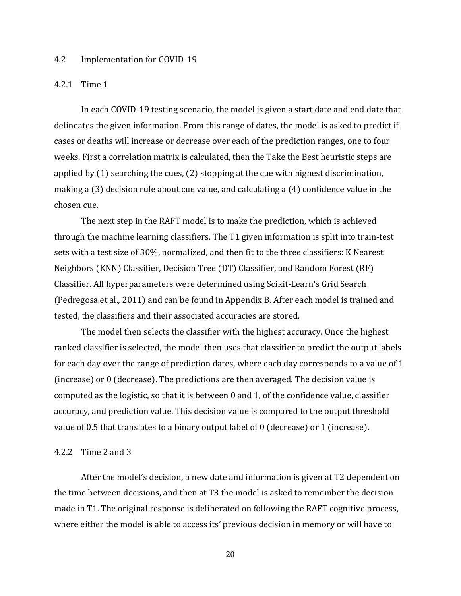## 4.2 Implementation for COVID-19

#### 4.2.1 Time 1

In each COVID-19 testing scenario, the model is given a start date and end date that delineates the given information. From this range of dates, the model is asked to predict if cases or deaths will increase or decrease over each of the prediction ranges, one to four weeks. First a correlation matrix is calculated, then the Take the Best heuristic steps are applied by (1) searching the cues, (2) stopping at the cue with highest discrimination, making a (3) decision rule about cue value, and calculating a (4) confidence value in the chosen cue.

The next step in the RAFT model is to make the prediction, which is achieved through the machine learning classifiers. The T1 given information is split into train-test sets with a test size of 30%, normalized, and then fit to the three classifiers: K Nearest Neighbors (KNN) Classifier, Decision Tree (DT) Classifier, and Random Forest (RF) Classifier. All hyperparameters were determined using Scikit-Learn's Grid Search (Pedregosa et al., 2011) and can be found in Appendix B. After each model is trained and tested, the classifiers and their associated accuracies are stored.

The model then selects the classifier with the highest accuracy. Once the highest ranked classifier is selected, the model then uses that classifier to predict the output labels for each day over the range of prediction dates, where each day corresponds to a value of 1 (increase) or 0 (decrease). The predictions are then averaged. The decision value is computed as the logistic, so that it is between 0 and 1, of the confidence value, classifier accuracy, and prediction value. This decision value is compared to the output threshold value of 0.5 that translates to a binary output label of 0 (decrease) or 1 (increase).

## 4.2.2 Time 2 and 3

After the model's decision, a new date and information is given at T2 dependent on the time between decisions, and then at T3 the model is asked to remember the decision made in T1. The original response is deliberated on following the RAFT cognitive process, where either the model is able to access its' previous decision in memory or will have to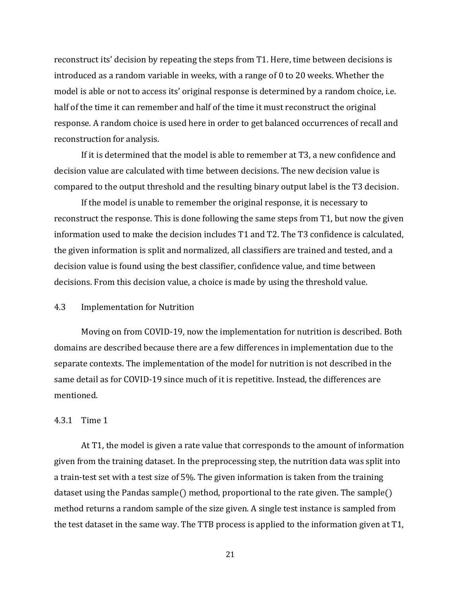reconstruct its' decision by repeating the steps from T1. Here, time between decisions is introduced as a random variable in weeks, with a range of 0 to 20 weeks. Whether the model is able or not to access its' original response is determined by a random choice, i.e. half of the time it can remember and half of the time it must reconstruct the original response. A random choice is used here in order to get balanced occurrences of recall and reconstruction for analysis.

If it is determined that the model is able to remember at T3, a new confidence and decision value are calculated with time between decisions. The new decision value is compared to the output threshold and the resulting binary output label is the T3 decision.

If the model is unable to remember the original response, it is necessary to reconstruct the response. This is done following the same steps from T1, but now the given information used to make the decision includes T1 and T2. The T3 confidence is calculated, the given information is split and normalized, all classifiers are trained and tested, and a decision value is found using the best classifier, confidence value, and time between decisions. From this decision value, a choice is made by using the threshold value.

## 4.3 Implementation for Nutrition

Moving on from COVID-19, now the implementation for nutrition is described. Both domains are described because there are a few differences in implementation due to the separate contexts. The implementation of the model for nutrition is not described in the same detail as for COVID-19 since much of it is repetitive. Instead, the differences are mentioned.

#### 4.3.1 Time 1

At T1, the model is given a rate value that corresponds to the amount of information given from the training dataset. In the preprocessing step, the nutrition data was split into a train-test set with a test size of 5%. The given information is taken from the training dataset using the Pandas sample() method, proportional to the rate given. The sample() method returns a random sample of the size given. A single test instance is sampled from the test dataset in the same way. The TTB process is applied to the information given at T1,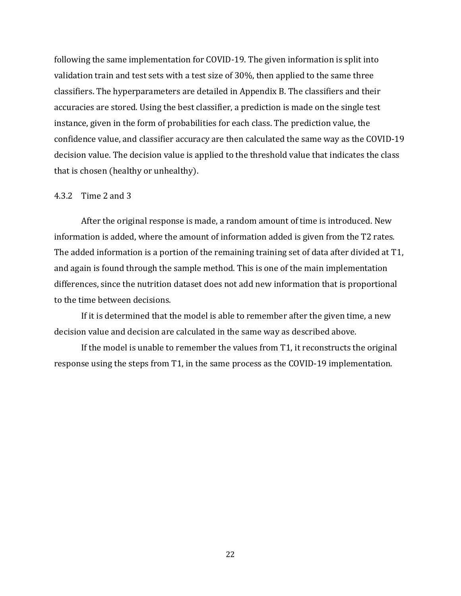following the same implementation for COVID-19. The given information is split into validation train and test sets with a test size of 30%, then applied to the same three classifiers. The hyperparameters are detailed in Appendix B. The classifiers and their accuracies are stored. Using the best classifier, a prediction is made on the single test instance, given in the form of probabilities for each class. The prediction value, the confidence value, and classifier accuracy are then calculated the same way as the COVID-19 decision value. The decision value is applied to the threshold value that indicates the class that is chosen (healthy or unhealthy).

## 4.3.2 Time 2 and 3

After the original response is made, a random amount of time is introduced. New information is added, where the amount of information added is given from the T2 rates. The added information is a portion of the remaining training set of data after divided at T1, and again is found through the sample method. This is one of the main implementation differences, since the nutrition dataset does not add new information that is proportional to the time between decisions.

If it is determined that the model is able to remember after the given time, a new decision value and decision are calculated in the same way as described above.

If the model is unable to remember the values from T1, it reconstructs the original response using the steps from T1, in the same process as the COVID-19 implementation.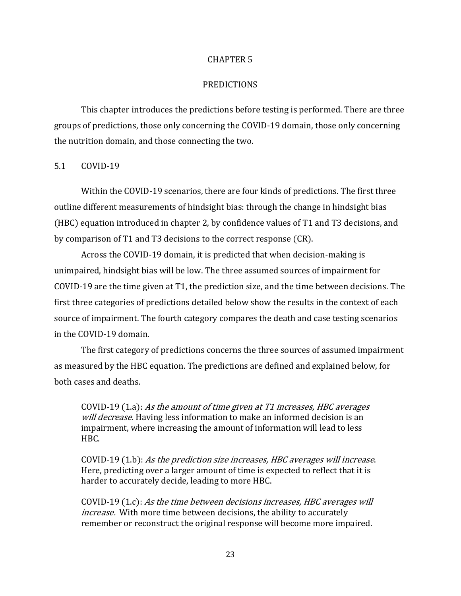## CHAPTER 5

## PREDICTIONS

This chapter introduces the predictions before testing is performed. There are three groups of predictions, those only concerning the COVID-19 domain, those only concerning the nutrition domain, and those connecting the two.

5.1 COVID-19

Within the COVID-19 scenarios, there are four kinds of predictions. The first three outline different measurements of hindsight bias: through the change in hindsight bias (HBC) equation introduced in chapter 2, by confidence values of T1 and T3 decisions, and by comparison of T1 and T3 decisions to the correct response (CR).

Across the COVID-19 domain, it is predicted that when decision-making is unimpaired, hindsight bias will be low. The three assumed sources of impairment for COVID-19 are the time given at T1, the prediction size, and the time between decisions. The first three categories of predictions detailed below show the results in the context of each source of impairment. The fourth category compares the death and case testing scenarios in the COVID-19 domain.

The first category of predictions concerns the three sources of assumed impairment as measured by the HBC equation. The predictions are defined and explained below, for both cases and deaths.

COVID-19 (1.a): As the amount of time given at T1 increases, HBC averages will decrease. Having less information to make an informed decision is an impairment, where increasing the amount of information will lead to less HBC.

COVID-19 (1.b): As the prediction size increases, HBC averages will increase. Here, predicting over a larger amount of time is expected to reflect that it is harder to accurately decide, leading to more HBC.

COVID-19 (1.c): As the time between decisions increases, HBC averages will increase. With more time between decisions, the ability to accurately remember or reconstruct the original response will become more impaired.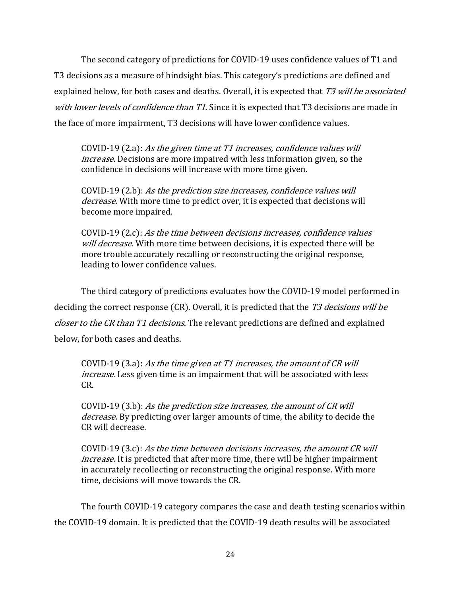The second category of predictions for COVID-19 uses confidence values of T1 and T3 decisions as a measure of hindsight bias. This category's predictions are defined and explained below, for both cases and deaths. Overall, it is expected that T3 will be associated with lower levels of confidence than T1. Since it is expected that T3 decisions are made in the face of more impairment, T3 decisions will have lower confidence values.

COVID-19 (2.a): As the given time at T1 increases, confidence values will increase. Decisions are more impaired with less information given, so the confidence in decisions will increase with more time given.

COVID-19 (2.b): As the prediction size increases, confidence values will decrease. With more time to predict over, it is expected that decisions will become more impaired.

COVID-19 (2.c): As the time between decisions increases, confidence values will decrease. With more time between decisions, it is expected there will be more trouble accurately recalling or reconstructing the original response, leading to lower confidence values.

The third category of predictions evaluates how the COVID-19 model performed in deciding the correct response (CR). Overall, it is predicted that the T3 decisions will be closer to the CR than T1 decisions. The relevant predictions are defined and explained below, for both cases and deaths.

COVID-19 (3.a): As the time given at T1 increases, the amount of CR will increase. Less given time is an impairment that will be associated with less CR.

COVID-19 (3.b): As the prediction size increases, the amount of CR will decrease. By predicting over larger amounts of time, the ability to decide the CR will decrease.

COVID-19 (3.c): As the time between decisions increases, the amount CR will increase. It is predicted that after more time, there will be higher impairment in accurately recollecting or reconstructing the original response. With more time, decisions will move towards the CR.

The fourth COVID-19 category compares the case and death testing scenarios within the COVID-19 domain. It is predicted that the COVID-19 death results will be associated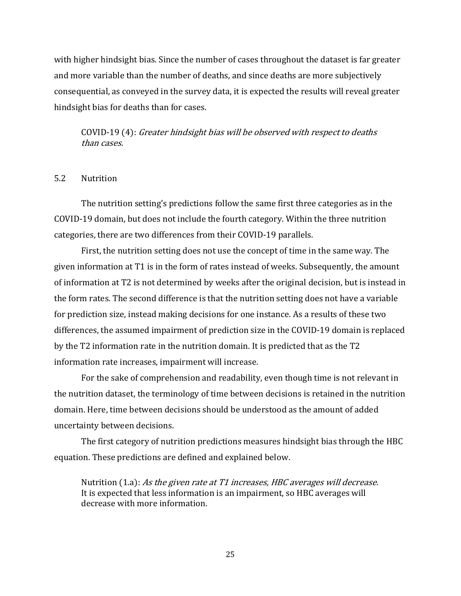with higher hindsight bias. Since the number of cases throughout the dataset is far greater and more variable than the number of deaths, and since deaths are more subjectively consequential, as conveyed in the survey data, it is expected the results will reveal greater hindsight bias for deaths than for cases.

COVID-19 (4): Greater hindsight bias will be observed with respect to deaths than cases.

5.2 Nutrition

The nutrition setting's predictions follow the same first three categories as in the COVID-19 domain, but does not include the fourth category. Within the three nutrition categories, there are two differences from their COVID-19 parallels.

First, the nutrition setting does not use the concept of time in the same way. The given information at T1 is in the form of rates instead of weeks. Subsequently, the amount of information at T2 is not determined by weeks after the original decision, but is instead in the form rates. The second difference is that the nutrition setting does not have a variable for prediction size, instead making decisions for one instance. As a results of these two differences, the assumed impairment of prediction size in the COVID-19 domain is replaced by the T2 information rate in the nutrition domain. It is predicted that as the T2 information rate increases, impairment will increase.

For the sake of comprehension and readability, even though time is not relevant in the nutrition dataset, the terminology of time between decisions is retained in the nutrition domain. Here, time between decisions should be understood as the amount of added uncertainty between decisions.

The first category of nutrition predictions measures hindsight bias through the HBC equation. These predictions are defined and explained below.

Nutrition (1.a): As the given rate at T1 increases, HBC averages will decrease. It is expected that less information is an impairment, so HBC averages will decrease with more information.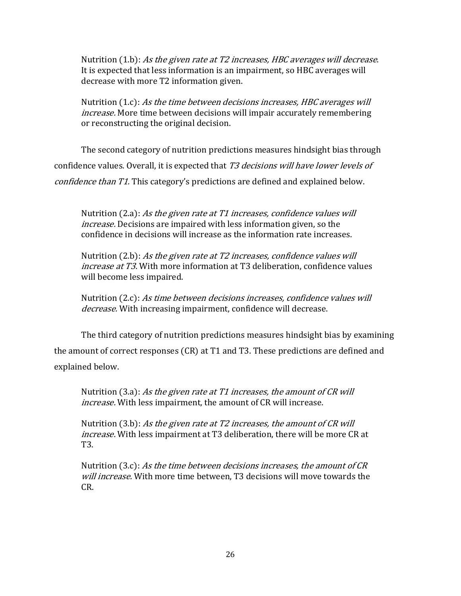Nutrition  $(1.b)$ : As the given rate at T2 increases, HBC averages will decrease. It is expected that less information is an impairment, so HBC averages will decrease with more T2 information given.

Nutrition (1.c): As the time between decisions increases, HBC averages will increase. More time between decisions will impair accurately remembering or reconstructing the original decision.

The second category of nutrition predictions measures hindsight bias through confidence values. Overall, it is expected that T3 decisions will have lower levels of confidence than T1. This category's predictions are defined and explained below.

Nutrition (2.a): As the given rate at T1 increases, confidence values will increase. Decisions are impaired with less information given, so the confidence in decisions will increase as the information rate increases.

Nutrition (2.b): As the given rate at T2 increases, confidence values will increase at T3. With more information at T3 deliberation, confidence values will become less impaired.

Nutrition (2.c): As time between decisions increases, confidence values will decrease. With increasing impairment, confidence will decrease.

The third category of nutrition predictions measures hindsight bias by examining the amount of correct responses (CR) at T1 and T3. These predictions are defined and explained below.

Nutrition (3.a): As the given rate at T1 increases, the amount of CR will increase. With less impairment, the amount of CR will increase.

Nutrition (3.b): As the given rate at T2 increases, the amount of CR will increase. With less impairment at T3 deliberation, there will be more CR at T3.

Nutrition  $(3.c)$ : As the time between decisions increases, the amount of CR will increase. With more time between, T3 decisions will move towards the CR.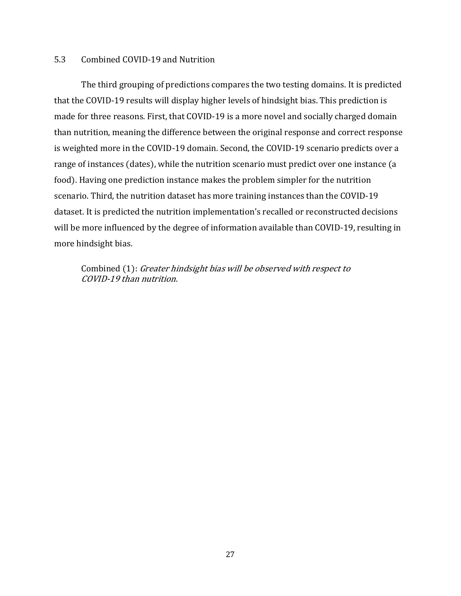## 5.3 Combined COVID-19 and Nutrition

The third grouping of predictions compares the two testing domains. It is predicted that the COVID-19 results will display higher levels of hindsight bias. This prediction is made for three reasons. First, that COVID-19 is a more novel and socially charged domain than nutrition, meaning the difference between the original response and correct response is weighted more in the COVID-19 domain. Second, the COVID-19 scenario predicts over a range of instances (dates), while the nutrition scenario must predict over one instance (a food). Having one prediction instance makes the problem simpler for the nutrition scenario. Third, the nutrition dataset has more training instances than the COVID-19 dataset. It is predicted the nutrition implementation's recalled or reconstructed decisions will be more influenced by the degree of information available than COVID-19, resulting in more hindsight bias.

Combined (1): Greater hindsight bias will be observed with respect to COVID-19 than nutrition.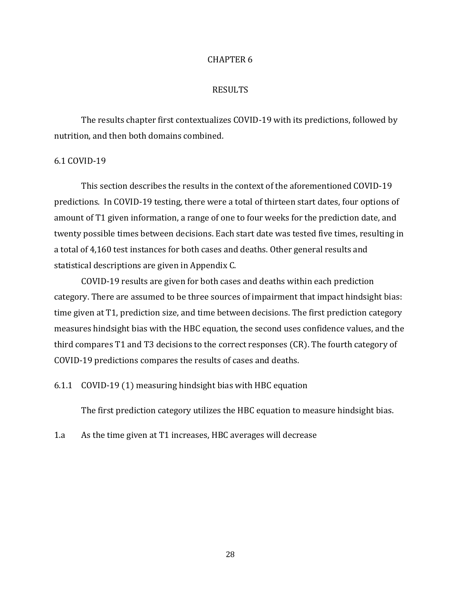## CHAPTER 6

## RESULTS

The results chapter first contextualizes COVID-19 with its predictions, followed by nutrition, and then both domains combined.

#### 6.1 COVID-19

This section describes the results in the context of the aforementioned COVID-19 predictions. In COVID-19 testing, there were a total of thirteen start dates, four options of amount of T1 given information, a range of one to four weeks for the prediction date, and twenty possible times between decisions. Each start date was tested five times, resulting in a total of 4,160 test instances for both cases and deaths. Other general results and statistical descriptions are given in Appendix C.

COVID-19 results are given for both cases and deaths within each prediction category. There are assumed to be three sources of impairment that impact hindsight bias: time given at T1, prediction size, and time between decisions. The first prediction category measures hindsight bias with the HBC equation, the second uses confidence values, and the third compares T1 and T3 decisions to the correct responses (CR). The fourth category of COVID-19 predictions compares the results of cases and deaths.

6.1.1 COVID-19 (1) measuring hindsight bias with HBC equation

The first prediction category utilizes the HBC equation to measure hindsight bias.

1.a As the time given at T1 increases, HBC averages will decrease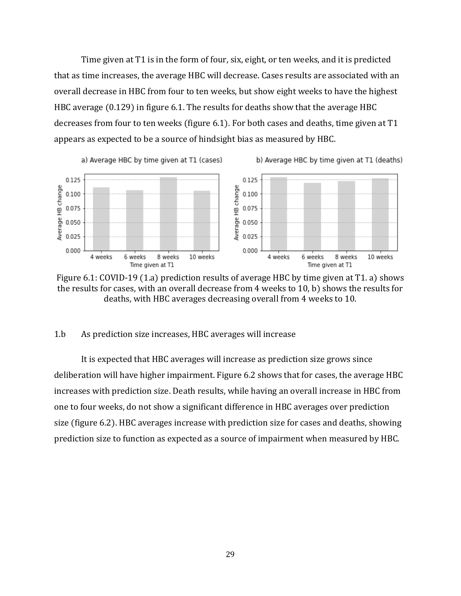Time given at T1 is in the form of four, six, eight, or ten weeks, and it is predicted that as time increases, the average HBC will decrease. Cases results are associated with an overall decrease in HBC from four to ten weeks, but show eight weeks to have the highest HBC average (0.129) in figure 6.1. The results for deaths show that the average HBC decreases from four to ten weeks (figure 6.1). For both cases and deaths, time given at T1 appears as expected to be a source of hindsight bias as measured by HBC.



Figure 6.1: COVID-19 (1.a) prediction results of average HBC by time given at T1. a) shows the results for cases, with an overall decrease from 4 weeks to 10, b) shows the results for deaths, with HBC averages decreasing overall from 4 weeks to 10.

## 1.b As prediction size increases, HBC averages will increase

It is expected that HBC averages will increase as prediction size grows since deliberation will have higher impairment. Figure 6.2 shows that for cases, the average HBC increases with prediction size. Death results, while having an overall increase in HBC from one to four weeks, do not show a significant difference in HBC averages over prediction size (figure 6.2). HBC averages increase with prediction size for cases and deaths, showing prediction size to function as expected as a source of impairment when measured by HBC.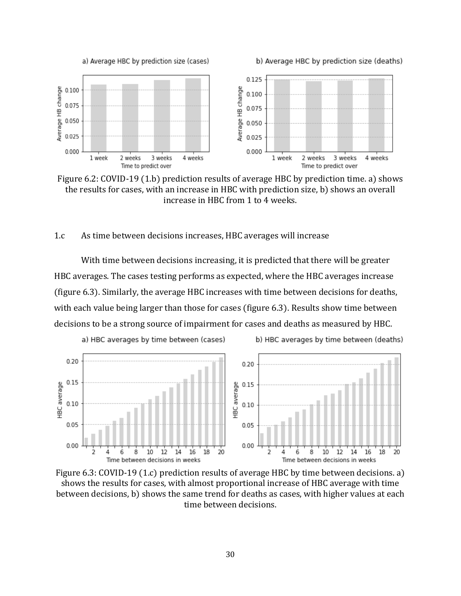

b) Average HBC by prediction size (deaths)



Figure 6.2: COVID-19 (1.b) prediction results of average HBC by prediction time. a) shows the results for cases, with an increase in HBC with prediction size, b) shows an overall increase in HBC from 1 to 4 weeks.

#### 1.c As time between decisions increases, HBC averages will increase

With time between decisions increasing, it is predicted that there will be greater HBC averages. The cases testing performs as expected, where the HBC averages increase (figure 6.3). Similarly, the average HBC increases with time between decisions for deaths, with each value being larger than those for cases (figure 6.3). Results show time between decisions to be a strong source of impairment for cases and deaths as measured by HBC.



Figure 6.3: COVID-19 (1.c) prediction results of average HBC by time between decisions. a) shows the results for cases, with almost proportional increase of HBC average with time between decisions, b) shows the same trend for deaths as cases, with higher values at each time between decisions.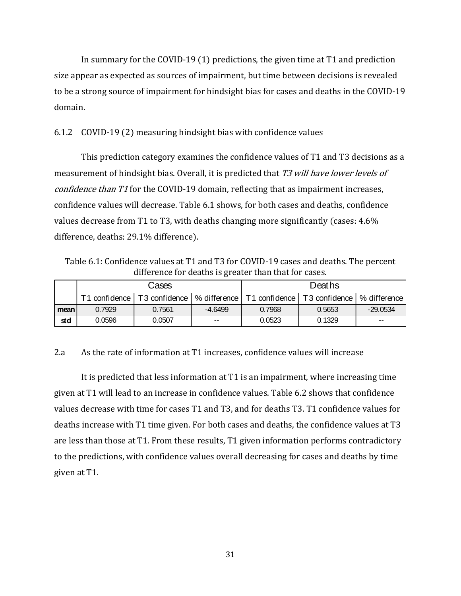In summary for the COVID-19 (1) predictions, the given time at T1 and prediction size appear as expected as sources of impairment, but time between decisions is revealed to be a strong source of impairment for hindsight bias for cases and deaths in the COVID-19 domain.

# 6.1.2 COVID-19 (2) measuring hindsight bias with confidence values

This prediction category examines the confidence values of T1 and T3 decisions as a measurement of hindsight bias. Overall, it is predicted that T3 will have lower levels of confidence than T1 for the COVID-19 domain, reflecting that as impairment increases, confidence values will decrease. Table 6.1 shows, for both cases and deaths, confidence values decrease from T1 to T3, with deaths changing more significantly (cases: 4.6% difference, deaths: 29.1% difference).

Table 6.1: Confidence values at T1 and T3 for COVID-19 cases and deaths. The percent difference for deaths is greater than that for cases.

|      |        | Cases                                                                                     |               | Deaths |        |            |  |
|------|--------|-------------------------------------------------------------------------------------------|---------------|--------|--------|------------|--|
|      |        | T1 confidence T3 confidence   % difference   T1 confidence   T3 confidence   % difference |               |        |        |            |  |
| mean | 0.7929 | 0.7561                                                                                    | $-4.6499$     | 0.7968 | 0.5653 | $-29.0534$ |  |
| std  | 0.0596 | 0.0507                                                                                    | $\sim$ $\sim$ | 0.0523 | 0.1329 | $-$        |  |

2.a As the rate of information at T1 increases, confidence values will increase

It is predicted that less information at T1 is an impairment, where increasing time given at T1 will lead to an increase in confidence values. Table 6.2 shows that confidence values decrease with time for cases T1 and T3, and for deaths T3. T1 confidence values for deaths increase with T1 time given. For both cases and deaths, the confidence values at T3 are less than those at T1. From these results, T1 given information performs contradictory to the predictions, with confidence values overall decreasing for cases and deaths by time given at T1.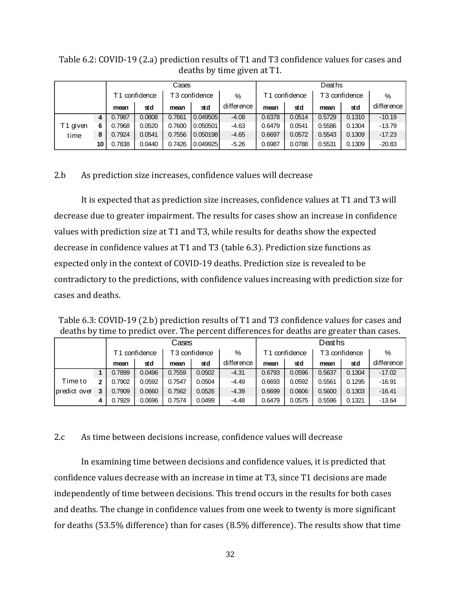|               |                 |        |                           | Cases  |          |               | Deaths |                           |        |        |            |
|---------------|-----------------|--------|---------------------------|--------|----------|---------------|--------|---------------------------|--------|--------|------------|
| T1 confidence |                 |        | T <sub>3</sub> confidence |        | %        | T1 confidence |        | T <sub>3</sub> confidence |        | %      |            |
|               |                 | mean   | std                       | mean   | std      | difference    | mean   | std                       | mean   | std    | difference |
|               | 4               | 0.7987 | 0.0808                    | 0.7661 | 0.049505 | $-4.08$       | 0.6378 | 0.0514                    | 0.5729 | 0.1310 | $-10.19$   |
| T1 given      | 6               | 0.7968 | 0.0520                    | 0.7600 | 0.050501 | $-4.63$       | 0.6479 | 0.0541                    | 0.5586 | 0.1304 | $-13.79$   |
| time          | 8               | 0.7924 | 0.0541                    | 0.7556 | 0.050198 | $-4.65$       | 0.6697 | 0.0572                    | 0.5543 | 0.1309 | $-17.23$   |
|               | 10 <sub>1</sub> | 0.7838 | 0.0440                    | 0.7426 | 0.049925 | $-5.26$       | 0.6987 | 0.0788                    | 0.5531 | 0.1309 | $-20.83$   |

Table 6.2: COVID-19 (2.a) prediction results of T1 and T3 confidence values for cases and deaths by time given at T1.

# 2.b As prediction size increases, confidence values will decrease

It is expected that as prediction size increases, confidence values at T1 and T3 will decrease due to greater impairment. The results for cases show an increase in confidence values with prediction size at T1 and T3, while results for deaths show the expected decrease in confidence values at T1 and T3 (table 6.3). Prediction size functions as expected only in the context of COVID-19 deaths. Prediction size is revealed to be contradictory to the predictions, with confidence values increasing with prediction size for cases and deaths.

Table 6.3: COVID-19 (2.b) prediction results of T1 and T3 confidence values for cases and deaths by time to predict over. The percent differences for deaths are greater than cases.

|              |   |               |        | Cases         |        |            | Deaths        |        |               |        |            |
|--------------|---|---------------|--------|---------------|--------|------------|---------------|--------|---------------|--------|------------|
|              |   | T1 confidence |        | T3 confidence |        | %          | T1 confidence |        | T3 confidence |        | %          |
|              |   | mean          | std    | mean          | std    | difference | mean          | std    | mean          | std    | difference |
|              |   | 0.7899        | 0.0496 | 0.7559        | 0.0502 | $-4.31$    | 0.6793        | 0.0596 | 0.5637        | 0.1304 | $-17.02$   |
| Timeto       |   | 0.7902        | 0.0592 | 0.7547        | 0.0504 | $-4.49$    | 0.6693        | 0.0592 | 0.5561        | 0.1295 | $-16.91$   |
| predict over | 3 | 0.7909        | 0.0660 | 0.7562        | 0.0526 | $-4.39$    | 0.6699        | 0.0606 | 0.5600        | 0.1303 | $-16.41$   |
|              | д | 0.7929        | 0.0696 | 0.7574        | 0.0499 | $-4.48$    | 0.6479        | 0.0575 | 0.5596        | 0.1321 | $-13.64$   |

## 2.c As time between decisions increase, confidence values will decrease

In examining time between decisions and confidence values, it is predicted that confidence values decrease with an increase in time at T3, since T1 decisions are made independently of time between decisions. This trend occurs in the results for both cases and deaths. The change in confidence values from one week to twenty is more significant for deaths (53.5% difference) than for cases (8.5% difference). The results show that time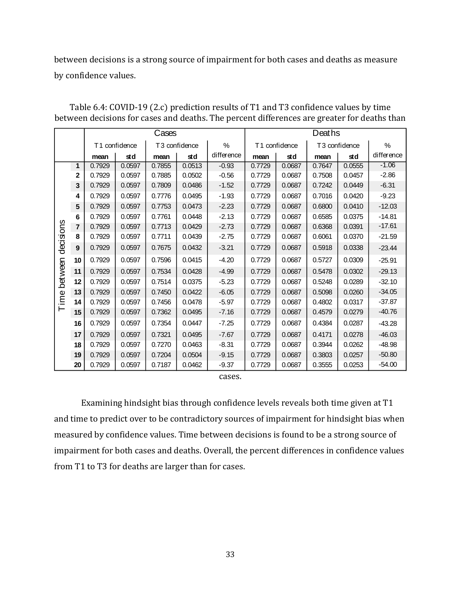between decisions is a strong source of impairment for both cases and deaths as measure by confidence values.

|           |                |        |               | Cases  |               |            | Deaths |               |        |               |            |
|-----------|----------------|--------|---------------|--------|---------------|------------|--------|---------------|--------|---------------|------------|
|           |                |        | T1 confidence |        | T3 confidence | $\%$       |        | T1 confidence |        | T3 confidence | %          |
|           |                | mean   | std           | mean   | std           | difference | mean   | std           | mean   | std           | difference |
|           | 1              | 0.7929 | 0.0597        | 0.7855 | 0.0513        | $-0.93$    | 0.7729 | 0.0687        | 0.7647 | 0.0555        | $-1.06$    |
|           | $\mathbf{2}$   | 0.7929 | 0.0597        | 0.7885 | 0.0502        | $-0.56$    | 0.7729 | 0.0687        | 0.7508 | 0.0457        | $-2.86$    |
|           | $\mathbf 3$    | 0.7929 | 0.0597        | 0.7809 | 0.0486        | $-1.52$    | 0.7729 | 0.0687        | 0.7242 | 0.0449        | $-6.31$    |
|           | 4              | 0.7929 | 0.0597        | 0.7776 | 0.0495        | $-1.93$    | 0.7729 | 0.0687        | 0.7016 | 0.0420        | $-9.23$    |
|           | $5\phantom{1}$ | 0.7929 | 0.0597        | 0.7753 | 0.0473        | $-2.23$    | 0.7729 | 0.0687        | 0.6800 | 0.0410        | $-12.03$   |
|           | 6              | 0.7929 | 0.0597        | 0.7761 | 0.0448        | $-2.13$    | 0.7729 | 0.0687        | 0.6585 | 0.0375        | $-14.81$   |
|           | 7              | 0.7929 | 0.0597        | 0.7713 | 0.0429        | $-2.73$    | 0.7729 | 0.0687        | 0.6368 | 0.0391        | $-17.61$   |
|           | 8              | 0.7929 | 0.0597        | 0.7711 | 0.0439        | $-2.75$    | 0.7729 | 0.0687        | 0.6061 | 0.0370        | $-21.59$   |
| decisions | 9              | 0.7929 | 0.0597        | 0.7675 | 0.0432        | $-3.21$    | 0.7729 | 0.0687        | 0.5918 | 0.0338        | $-23.44$   |
|           | 10             | 0.7929 | 0.0597        | 0.7596 | 0.0415        | $-4.20$    | 0.7729 | 0.0687        | 0.5727 | 0.0309        | $-25.91$   |
| between   | 11             | 0.7929 | 0.0597        | 0.7534 | 0.0428        | $-4.99$    | 0.7729 | 0.0687        | 0.5478 | 0.0302        | $-29.13$   |
|           | 12             | 0.7929 | 0.0597        | 0.7514 | 0.0375        | $-5.23$    | 0.7729 | 0.0687        | 0.5248 | 0.0289        | $-32.10$   |
| eqi       | 13             | 0.7929 | 0.0597        | 0.7450 | 0.0422        | $-6.05$    | 0.7729 | 0.0687        | 0.5098 | 0.0260        | $-34.05$   |
|           | 14             | 0.7929 | 0.0597        | 0.7456 | 0.0478        | $-5.97$    | 0.7729 | 0.0687        | 0.4802 | 0.0317        | $-37.87$   |
|           | 15             | 0.7929 | 0.0597        | 0.7362 | 0.0495        | $-7.16$    | 0.7729 | 0.0687        | 0.4579 | 0.0279        | $-40.76$   |
|           | 16             | 0.7929 | 0.0597        | 0.7354 | 0.0447        | $-7.25$    | 0.7729 | 0.0687        | 0.4384 | 0.0287        | $-43.28$   |
|           | 17             | 0.7929 | 0.0597        | 0.7321 | 0.0495        | $-7.67$    | 0.7729 | 0.0687        | 0.4171 | 0.0278        | $-46.03$   |
|           | 18             | 0.7929 | 0.0597        | 0.7270 | 0.0463        | $-8.31$    | 0.7729 | 0.0687        | 0.3944 | 0.0262        | $-48.98$   |
|           | 19             | 0.7929 | 0.0597        | 0.7204 | 0.0504        | $-9.15$    | 0.7729 | 0.0687        | 0.3803 | 0.0257        | $-50.80$   |
|           | 20             | 0.7929 | 0.0597        | 0.7187 | 0.0462        | $-9.37$    | 0.7729 | 0.0687        | 0.3555 | 0.0253        | $-54.00$   |

Table 6.4: COVID-19 (2.c) prediction results of T1 and T3 confidence values by time between decisions for cases and deaths. The percent differences are greater for deaths than

cases.

Examining hindsight bias through confidence levels reveals both time given at T1 and time to predict over to be contradictory sources of impairment for hindsight bias when measured by confidence values. Time between decisions is found to be a strong source of impairment for both cases and deaths. Overall, the percent differences in confidence values from T1 to T3 for deaths are larger than for cases.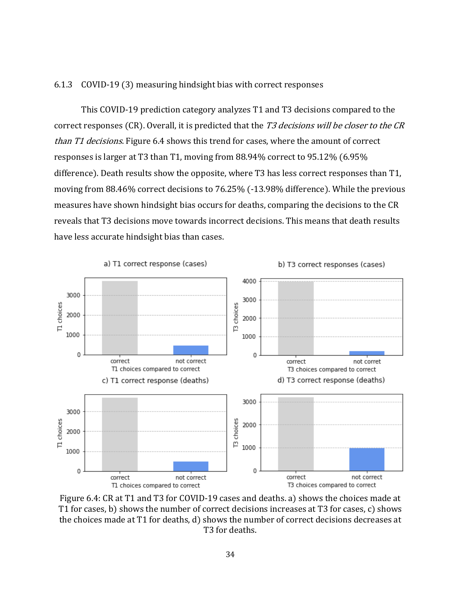## 6.1.3 COVID-19 (3) measuring hindsight bias with correct responses

This COVID-19 prediction category analyzes T1 and T3 decisions compared to the correct responses (CR). Overall, it is predicted that the T3 decisions will be closer to the CR than T1 decisions. Figure 6.4 shows this trend for cases, where the amount of correct responses is larger at T3 than T1, moving from 88.94% correct to 95.12% (6.95% difference). Death results show the opposite, where T3 has less correct responses than T1, moving from 88.46% correct decisions to 76.25% (-13.98% difference). While the previous measures have shown hindsight bias occurs for deaths, comparing the decisions to the CR reveals that T3 decisions move towards incorrect decisions. This means that death results have less accurate hindsight bias than cases.



Figure 6.4: CR at T1 and T3 for COVID-19 cases and deaths. a) shows the choices made at T1 for cases, b) shows the number of correct decisions increases at T3 for cases, c) shows the choices made at T1 for deaths, d) shows the number of correct decisions decreases at T3 for deaths.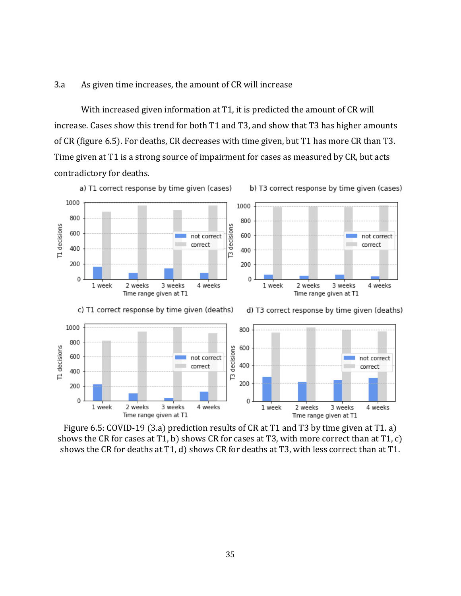# 3.a As given time increases, the amount of CR will increase

With increased given information at T1, it is predicted the amount of CR will increase. Cases show this trend for both T1 and T3, and show that T3 has higher amounts of CR (figure 6.5). For deaths, CR decreases with time given, but T1 has more CR than T3. Time given at T1 is a strong source of impairment for cases as measured by CR, but acts contradictory for deaths.



Figure 6.5: COVID-19 (3.a) prediction results of CR at T1 and T3 by time given at T1. a) shows the CR for cases at T1, b) shows CR for cases at T3, with more correct than at T1, c) shows the CR for deaths at T1, d) shows CR for deaths at T3, with less correct than at T1.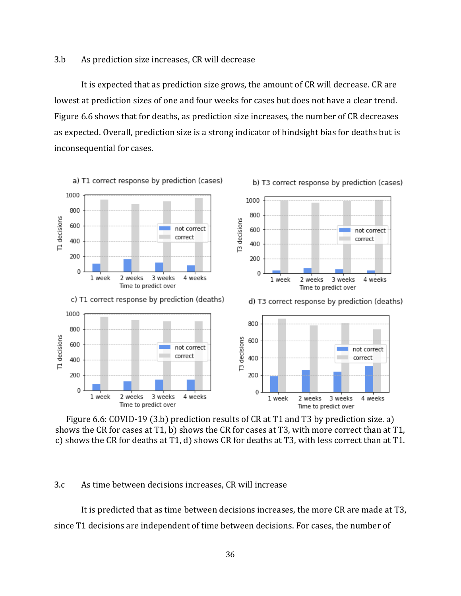## 3.b As prediction size increases, CR will decrease

It is expected that as prediction size grows, the amount of CR will decrease. CR are lowest at prediction sizes of one and four weeks for cases but does not have a clear trend. Figure 6.6 shows that for deaths, as prediction size increases, the number of CR decreases as expected. Overall, prediction size is a strong indicator of hindsight bias for deaths but is inconsequential for cases.



Figure 6.6: COVID-19 (3.b) prediction results of CR at T1 and T3 by prediction size. a) shows the CR for cases at T1, b) shows the CR for cases at T3, with more correct than at T1, c) shows the CR for deaths at T1, d) shows CR for deaths at T3, with less correct than at T1.

# 3.c As time between decisions increases, CR will increase

It is predicted that as time between decisions increases, the more CR are made at T3, since T1 decisions are independent of time between decisions. For cases, the number of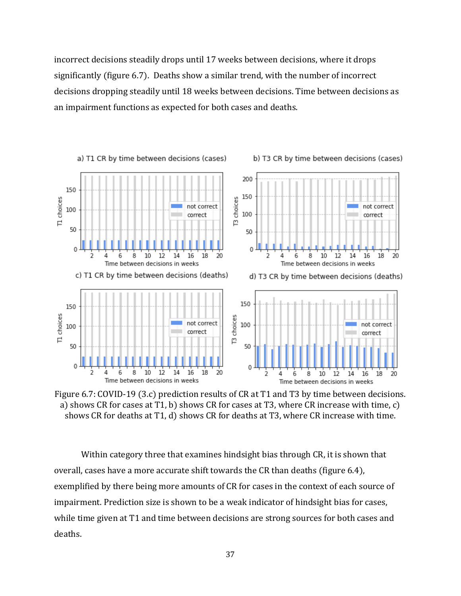incorrect decisions steadily drops until 17 weeks between decisions, where it drops significantly (figure 6.7). Deaths show a similar trend, with the number of incorrect decisions dropping steadily until 18 weeks between decisions. Time between decisions as an impairment functions as expected for both cases and deaths.



Figure 6.7: COVID-19 (3.c) prediction results of CR at T1 and T3 by time between decisions. a) shows CR for cases at T1, b) shows CR for cases at T3, where CR increase with time, c) shows CR for deaths at T1, d) shows CR for deaths at T3, where CR increase with time.

Within category three that examines hindsight bias through CR, it is shown that overall, cases have a more accurate shift towards the CR than deaths (figure 6.4), exemplified by there being more amounts of CR for cases in the context of each source of impairment. Prediction size is shown to be a weak indicator of hindsight bias for cases, while time given at T1 and time between decisions are strong sources for both cases and deaths.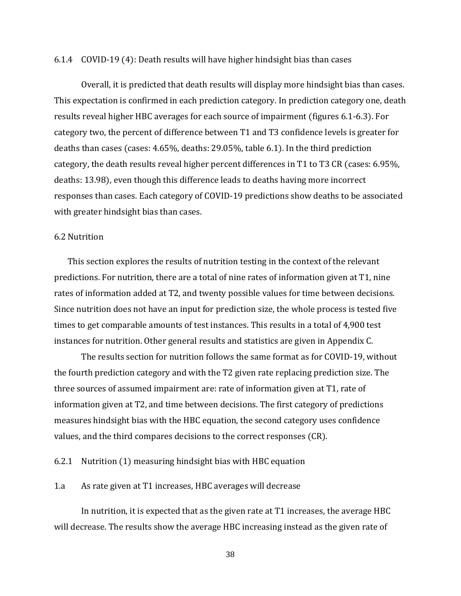## 6.1.4 COVID-19 (4): Death results will have higher hindsight bias than cases

Overall, it is predicted that death results will display more hindsight bias than cases. This expectation is confirmed in each prediction category. In prediction category one, death results reveal higher HBC averages for each source of impairment (figures 6.1-6.3). For category two, the percent of difference between T1 and T3 confidence levels is greater for deaths than cases (cases: 4.65%, deaths: 29.05%, table 6.1). In the third prediction category, the death results reveal higher percent differences in T1 to T3 CR (cases: 6.95%, deaths: 13.98), even though this difference leads to deaths having more incorrect responses than cases. Each category of COVID-19 predictions show deaths to be associated with greater hindsight bias than cases.

#### 6.2 Nutrition

This section explores the results of nutrition testing in the context of the relevant predictions. For nutrition, there are a total of nine rates of information given at T1, nine rates of information added at T2, and twenty possible values for time between decisions. Since nutrition does not have an input for prediction size, the whole process is tested five times to get comparable amounts of test instances. This results in a total of 4,900 test instances for nutrition. Other general results and statistics are given in Appendix C.

The results section for nutrition follows the same format as for COVID-19, without the fourth prediction category and with the T2 given rate replacing prediction size. The three sources of assumed impairment are: rate of information given at T1, rate of information given at T2, and time between decisions. The first category of predictions measures hindsight bias with the HBC equation, the second category uses confidence values, and the third compares decisions to the correct responses (CR).

6.2.1 Nutrition (1) measuring hindsight bias with HBC equation

1.a As rate given at T1 increases, HBC averages will decrease

In nutrition, it is expected that as the given rate at T1 increases, the average HBC will decrease. The results show the average HBC increasing instead as the given rate of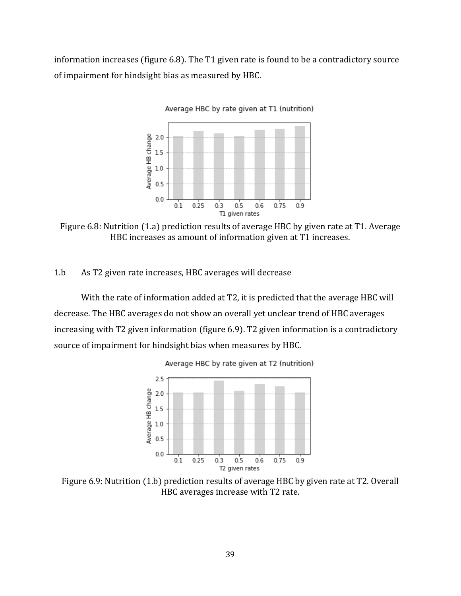information increases (figure 6.8). The T1 given rate is found to be a contradictory source of impairment for hindsight bias as measured by HBC.



Figure 6.8: Nutrition (1.a) prediction results of average HBC by given rate at T1. Average HBC increases as amount of information given at T1 increases.

1.b As T2 given rate increases, HBC averages will decrease

With the rate of information added at T2, it is predicted that the average HBC will decrease. The HBC averages do not show an overall yet unclear trend of HBC averages increasing with T2 given information (figure 6.9). T2 given information is a contradictory source of impairment for hindsight bias when measures by HBC.





Figure 6.9: Nutrition (1.b) prediction results of average HBC by given rate at T2. Overall HBC averages increase with T2 rate.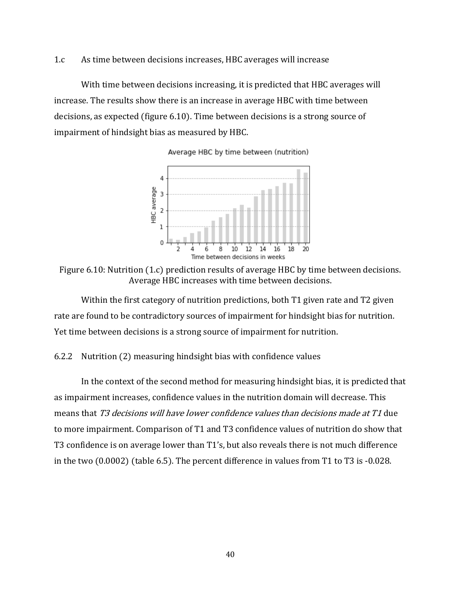## 1.c As time between decisions increases, HBC averages will increase

With time between decisions increasing, it is predicted that HBC averages will increase. The results show there is an increase in average HBC with time between decisions, as expected (figure 6.10). Time between decisions is a strong source of impairment of hindsight bias as measured by HBC.



Average HBC by time between (nutrition)

Figure 6.10: Nutrition (1.c) prediction results of average HBC by time between decisions. Average HBC increases with time between decisions.

Within the first category of nutrition predictions, both T1 given rate and T2 given rate are found to be contradictory sources of impairment for hindsight bias for nutrition. Yet time between decisions is a strong source of impairment for nutrition.

# 6.2.2 Nutrition (2) measuring hindsight bias with confidence values

In the context of the second method for measuring hindsight bias, it is predicted that as impairment increases, confidence values in the nutrition domain will decrease. This means that T3 decisions will have lower confidence values than decisions made at T1 due to more impairment. Comparison of T1 and T3 confidence values of nutrition do show that T3 confidence is on average lower than T1's, but also reveals there is not much difference in the two (0.0002) (table 6.5). The percent difference in values from T1 to T3 is -0.028.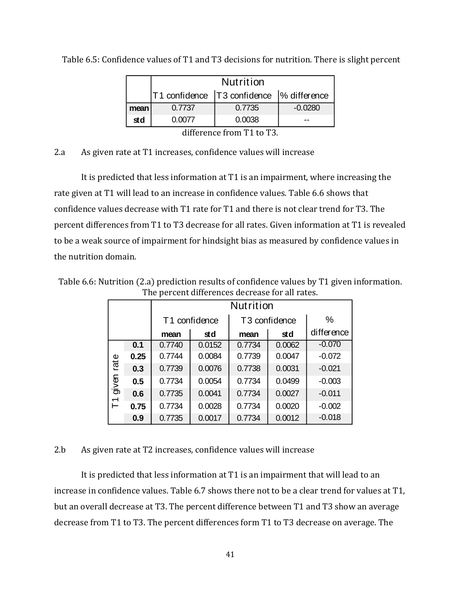|      |                      | <b>Nutrition</b>                            |           |  |  |  |  |  |  |  |  |  |
|------|----------------------|---------------------------------------------|-----------|--|--|--|--|--|--|--|--|--|
|      |                      | T1 confidence   T3 confidence  % difference |           |  |  |  |  |  |  |  |  |  |
| mean | 0.7737               | 0.7735                                      | $-0.0280$ |  |  |  |  |  |  |  |  |  |
| std  | 0.0077               | 0.0038                                      |           |  |  |  |  |  |  |  |  |  |
|      | $\ddot{\phantom{a}}$ | $\overline{\phantom{0}}$                    |           |  |  |  |  |  |  |  |  |  |

Table 6.5: Confidence values of T1 and T3 decisions for nutrition. There is slight percent

difference from T1 to T3.

# 2.a As given rate at T1 increases, confidence values will increase

It is predicted that less information at T1 is an impairment, where increasing the rate given at T1 will lead to an increase in confidence values. Table 6.6 shows that confidence values decrease with T1 rate for T1 and there is not clear trend for T3. The percent differences from T1 to T3 decrease for all rates. Given information at T1 is revealed to be a weak source of impairment for hindsight bias as measured by confidence values in the nutrition domain.

|       | The percent anicrences accrease for an rates. |                           |        |        |                           |            |  |  |  |  |  |
|-------|-----------------------------------------------|---------------------------|--------|--------|---------------------------|------------|--|--|--|--|--|
|       |                                               | <b>Nutrition</b>          |        |        |                           |            |  |  |  |  |  |
|       |                                               | T <sub>1</sub> confidence |        |        | T <sub>3</sub> confidence | %          |  |  |  |  |  |
|       |                                               | mean                      | std    | mean   | std                       | difference |  |  |  |  |  |
|       | 0.1                                           | 0.7740                    | 0.0152 | 0.7734 | 0.0062                    | $-0.070$   |  |  |  |  |  |
| rate  | 0.25                                          | 0.7744                    | 0.0084 | 0.7739 | 0.0047                    | $-0.072$   |  |  |  |  |  |
|       | 0.3                                           | 0.7739                    | 0.0076 | 0.7738 | 0.0031                    | $-0.021$   |  |  |  |  |  |
| divel | 0.5                                           | 0.7734                    | 0.0054 | 0.7734 | 0.0499                    | $-0.003$   |  |  |  |  |  |
|       | 0.6                                           | 0.7735                    | 0.0041 | 0.7734 | 0.0027                    | $-0.011$   |  |  |  |  |  |
| こ     | 0.75                                          | 0.7734                    | 0.0028 | 0.7734 | 0.0020                    | $-0.002$   |  |  |  |  |  |
|       | 0.9                                           | 0.7735                    | 0.0017 | 0.7734 | 0.0012                    | $-0.018$   |  |  |  |  |  |

Table 6.6: Nutrition (2.a) prediction results of confidence values by T1 given information. The percent differences decrease for all rates.

# 2.b As given rate at T2 increases, confidence values will increase

It is predicted that less information at T1 is an impairment that will lead to an increase in confidence values. Table 6.7 shows there not to be a clear trend for values at T1, but an overall decrease at T3. The percent difference between T1 and T3 show an average decrease from T1 to T3. The percent differences form T1 to T3 decrease on average. The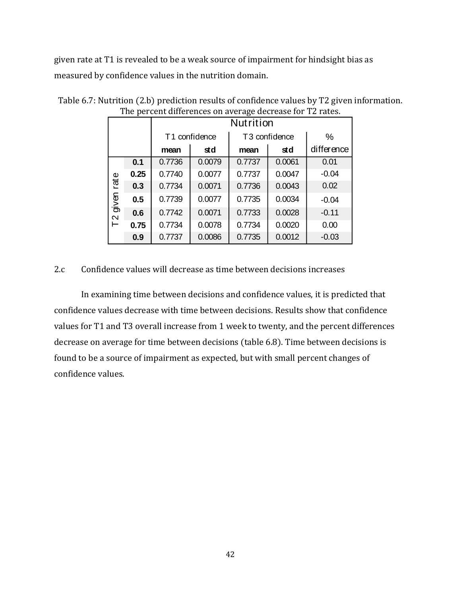given rate at T1 is revealed to be a weak source of impairment for hindsight bias as measured by confidence values in the nutrition domain.

|        |      | <b>Nutrition</b>          |        |        |                           |            |  |  |  |
|--------|------|---------------------------|--------|--------|---------------------------|------------|--|--|--|
|        |      | T <sub>1</sub> confidence |        |        | T <sub>3</sub> confidence | %          |  |  |  |
|        |      | mean                      | std    | mean   | std                       | difference |  |  |  |
|        | 0.1  | 0.7736                    | 0.0079 | 0.7737 | 0.0061                    | 0.01       |  |  |  |
|        | 0.25 | 0.7740                    | 0.0077 | 0.7737 | 0.0047                    | $-0.04$    |  |  |  |
| rate   | 0.3  | 0.7734                    | 0.0071 | 0.7736 | 0.0043                    | 0.02       |  |  |  |
| divelo | 0.5  | 0.7739                    | 0.0077 | 0.7735 | 0.0034                    | $-0.04$    |  |  |  |
|        | 0.6  | 0.7742                    | 0.0071 | 0.7733 | 0.0028                    | $-0.11$    |  |  |  |
| 7<br>T | 0.75 | 0.7734                    | 0.0078 | 0.7734 | 0.0020                    | 0.00       |  |  |  |
|        | 0.9  | 0.7737                    | 0.0086 | 0.7735 | 0.0012                    | $-0.03$    |  |  |  |

Table 6.7: Nutrition (2.b) prediction results of confidence values by T2 given information. The percent differences on average decrease for T2 rates.

2.c Confidence values will decrease as time between decisions increases

In examining time between decisions and confidence values, it is predicted that confidence values decrease with time between decisions. Results show that confidence values for T1 and T3 overall increase from 1 week to twenty, and the percent differences decrease on average for time between decisions (table 6.8). Time between decisions is found to be a source of impairment as expected, but with small percent changes of confidence values.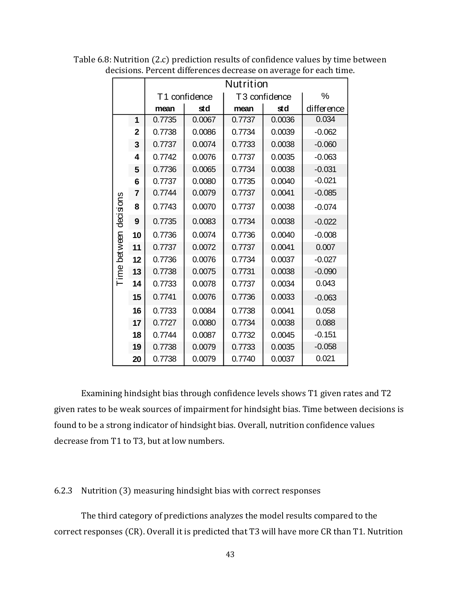|           |                |        | Nutrition     |        |                           |            |  |  |  |  |  |  |
|-----------|----------------|--------|---------------|--------|---------------------------|------------|--|--|--|--|--|--|
|           |                |        | T1 confidence |        | T <sub>3</sub> confidence | %          |  |  |  |  |  |  |
|           |                | mean   | std           | mean   | std                       | difference |  |  |  |  |  |  |
|           | 1              | 0.7735 | 0.0067        | 0.7737 | 0.0036                    | 0.034      |  |  |  |  |  |  |
|           | $\mathbf{2}$   | 0.7738 | 0.0086        | 0.7734 | 0.0039                    | $-0.062$   |  |  |  |  |  |  |
|           | 3              | 0.7737 | 0.0074        | 0.7733 | 0.0038                    | $-0.060$   |  |  |  |  |  |  |
|           | 4              | 0.7742 | 0.0076        | 0.7737 | 0.0035                    | $-0.063$   |  |  |  |  |  |  |
|           | 5              | 0.7736 | 0.0065        | 0.7734 | 0.0038                    | $-0.031$   |  |  |  |  |  |  |
|           | 6              | 0.7737 | 0.0080        | 0.7735 | 0.0040                    | $-0.021$   |  |  |  |  |  |  |
|           | $\overline{7}$ | 0.7744 | 0.0079        | 0.7737 | 0.0041                    | $-0.085$   |  |  |  |  |  |  |
| decisions | 8              | 0.7743 | 0.0070        | 0.7737 | 0.0038                    | $-0.074$   |  |  |  |  |  |  |
|           | 9              | 0.7735 | 0.0083        | 0.7734 | 0.0038                    | $-0.022$   |  |  |  |  |  |  |
|           | 10             | 0.7736 | 0.0074        | 0.7736 | 0.0040                    | $-0.008$   |  |  |  |  |  |  |
| between   | 11             | 0.7737 | 0.0072        | 0.7737 | 0.0041                    | 0.007      |  |  |  |  |  |  |
|           | 12             | 0.7736 | 0.0076        | 0.7734 | 0.0037                    | $-0.027$   |  |  |  |  |  |  |
| Time      | 13             | 0.7738 | 0.0075        | 0.7731 | 0.0038                    | $-0.090$   |  |  |  |  |  |  |
|           | 14             | 0.7733 | 0.0078        | 0.7737 | 0.0034                    | 0.043      |  |  |  |  |  |  |
|           | 15             | 0.7741 | 0.0076        | 0.7736 | 0.0033                    | $-0.063$   |  |  |  |  |  |  |
|           | 16             | 0.7733 | 0.0084        | 0.7738 | 0.0041                    | 0.058      |  |  |  |  |  |  |
|           | 17             | 0.7727 | 0.0080        | 0.7734 | 0.0038                    | 0.088      |  |  |  |  |  |  |
|           | 18             | 0.7744 | 0.0087        | 0.7732 | 0.0045                    | $-0.151$   |  |  |  |  |  |  |
|           | 19             | 0.7738 | 0.0079        | 0.7733 | 0.0035                    | $-0.058$   |  |  |  |  |  |  |
|           | 20             | 0.7738 | 0.0079        | 0.7740 | 0.0037                    | 0.021      |  |  |  |  |  |  |

Table 6.8: Nutrition (2.c) prediction results of confidence values by time between decisions. Percent differences decrease on average for each time.

Examining hindsight bias through confidence levels shows T1 given rates and T2 given rates to be weak sources of impairment for hindsight bias. Time between decisions is found to be a strong indicator of hindsight bias. Overall, nutrition confidence values decrease from T1 to T3, but at low numbers.

#### 6.2.3 Nutrition (3) measuring hindsight bias with correct responses

The third category of predictions analyzes the model results compared to the correct responses (CR). Overall it is predicted that T3 will have more CR than T1. Nutrition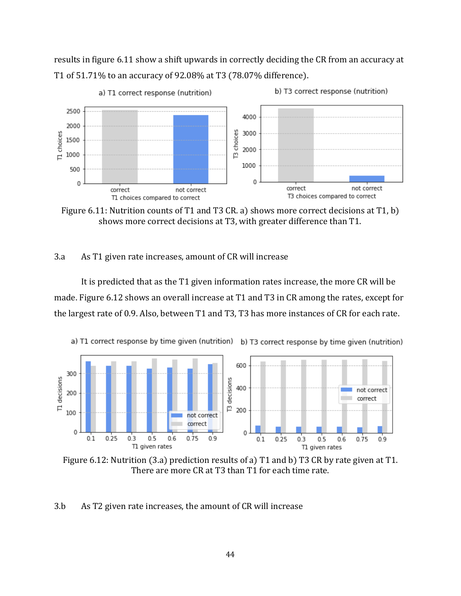results in figure 6.11 show a shift upwards in correctly deciding the CR from an accuracy at T1 of 51.71% to an accuracy of 92.08% at T3 (78.07% difference).



Figure 6.11: Nutrition counts of T1 and T3 CR. a) shows more correct decisions at T1, b) shows more correct decisions at T3, with greater difference than T1.

## 3.a As T1 given rate increases, amount of CR will increase

It is predicted that as the T1 given information rates increase, the more CR will be made. Figure 6.12 shows an overall increase at T1 and T3 in CR among the rates, except for the largest rate of 0.9. Also, between T1 and T3, T3 has more instances of CR for each rate.



Figure 6.12: Nutrition (3.a) prediction results of a) T1 and b) T3 CR by rate given at T1. There are more CR at T3 than T1 for each time rate.

3.b As T2 given rate increases, the amount of CR will increase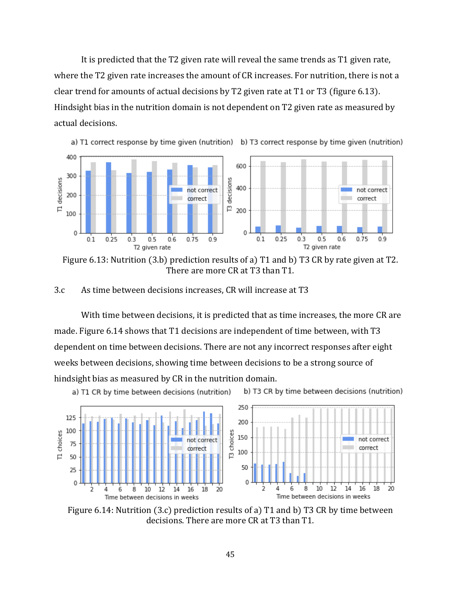It is predicted that the T2 given rate will reveal the same trends as T1 given rate, where the T2 given rate increases the amount of CR increases. For nutrition, there is not a clear trend for amounts of actual decisions by T2 given rate at T1 or T3 (figure 6.13). Hindsight bias in the nutrition domain is not dependent on T2 given rate as measured by actual decisions.



Figure 6.13: Nutrition (3.b) prediction results of a) T1 and b) T3 CR by rate given at T2. There are more CR at T3 than T1.

3.c As time between decisions increases, CR will increase at T3

With time between decisions, it is predicted that as time increases, the more CR are made. Figure 6.14 shows that T1 decisions are independent of time between, with T3 dependent on time between decisions. There are not any incorrect responses after eight weeks between decisions, showing time between decisions to be a strong source of hindsight bias as measured by CR in the nutrition domain.

a) T1 CR by time between decisions (nutrition)

b) T3 CR by time between decisions (nutrition)



Figure 6.14: Nutrition (3.c) prediction results of a) T1 and b) T3 CR by time between decisions. There are more CR at T3 than T1.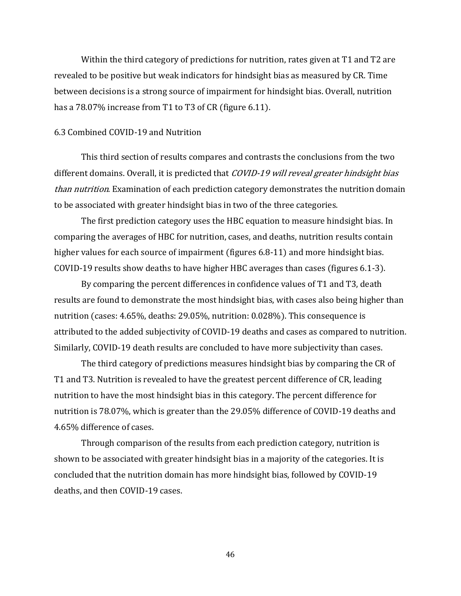Within the third category of predictions for nutrition, rates given at T1 and T2 are revealed to be positive but weak indicators for hindsight bias as measured by CR. Time between decisions is a strong source of impairment for hindsight bias. Overall, nutrition has a 78.07% increase from T1 to T3 of CR (figure 6.11).

## 6.3 Combined COVID-19 and Nutrition

This third section of results compares and contrasts the conclusions from the two different domains. Overall, it is predicted that COVID-19 will reveal greater hindsight bias than nutrition. Examination of each prediction category demonstrates the nutrition domain to be associated with greater hindsight bias in two of the three categories.

The first prediction category uses the HBC equation to measure hindsight bias. In comparing the averages of HBC for nutrition, cases, and deaths, nutrition results contain higher values for each source of impairment (figures 6.8-11) and more hindsight bias. COVID-19 results show deaths to have higher HBC averages than cases (figures 6.1-3).

By comparing the percent differences in confidence values of T1 and T3, death results are found to demonstrate the most hindsight bias, with cases also being higher than nutrition (cases: 4.65%, deaths: 29.05%, nutrition: 0.028%). This consequence is attributed to the added subjectivity of COVID-19 deaths and cases as compared to nutrition. Similarly, COVID-19 death results are concluded to have more subjectivity than cases.

The third category of predictions measures hindsight bias by comparing the CR of T1 and T3. Nutrition is revealed to have the greatest percent difference of CR, leading nutrition to have the most hindsight bias in this category. The percent difference for nutrition is 78.07%, which is greater than the 29.05% difference of COVID-19 deaths and 4.65% difference of cases.

Through comparison of the results from each prediction category, nutrition is shown to be associated with greater hindsight bias in a majority of the categories. It is concluded that the nutrition domain has more hindsight bias, followed by COVID-19 deaths, and then COVID-19 cases.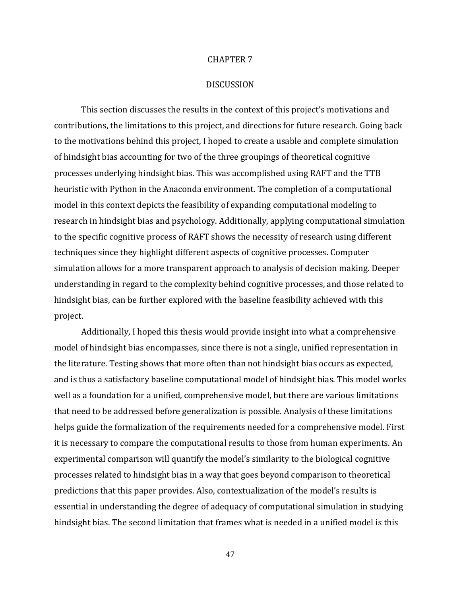#### CHAPTER 7

## DISCUSSION

This section discusses the results in the context of this project's motivations and contributions, the limitations to this project, and directions for future research. Going back to the motivations behind this project, I hoped to create a usable and complete simulation of hindsight bias accounting for two of the three groupings of theoretical cognitive processes underlying hindsight bias. This was accomplished using RAFT and the TTB heuristic with Python in the Anaconda environment. The completion of a computational model in this context depicts the feasibility of expanding computational modeling to research in hindsight bias and psychology. Additionally, applying computational simulation to the specific cognitive process of RAFT shows the necessity of research using different techniques since they highlight different aspects of cognitive processes. Computer simulation allows for a more transparent approach to analysis of decision making. Deeper understanding in regard to the complexity behind cognitive processes, and those related to hindsight bias, can be further explored with the baseline feasibility achieved with this project.

Additionally, I hoped this thesis would provide insight into what a comprehensive model of hindsight bias encompasses, since there is not a single, unified representation in the literature. Testing shows that more often than not hindsight bias occurs as expected, and is thus a satisfactory baseline computational model of hindsight bias. This model works well as a foundation for a unified, comprehensive model, but there are various limitations that need to be addressed before generalization is possible. Analysis of these limitations helps guide the formalization of the requirements needed for a comprehensive model. First it is necessary to compare the computational results to those from human experiments. An experimental comparison will quantify the model's similarity to the biological cognitive processes related to hindsight bias in a way that goes beyond comparison to theoretical predictions that this paper provides. Also, contextualization of the model's results is essential in understanding the degree of adequacy of computational simulation in studying hindsight bias. The second limitation that frames what is needed in a unified model is this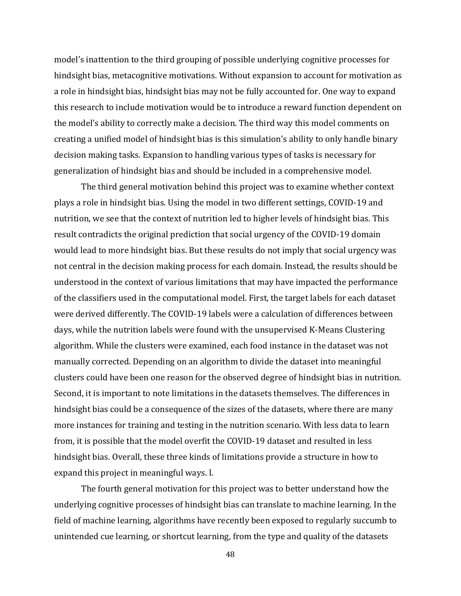model's inattention to the third grouping of possible underlying cognitive processes for hindsight bias, metacognitive motivations. Without expansion to account for motivation as a role in hindsight bias, hindsight bias may not be fully accounted for. One way to expand this research to include motivation would be to introduce a reward function dependent on the model's ability to correctly make a decision. The third way this model comments on creating a unified model of hindsight bias is this simulation's ability to only handle binary decision making tasks. Expansion to handling various types of tasks is necessary for generalization of hindsight bias and should be included in a comprehensive model.

The third general motivation behind this project was to examine whether context plays a role in hindsight bias. Using the model in two different settings, COVID-19 and nutrition, we see that the context of nutrition led to higher levels of hindsight bias. This result contradicts the original prediction that social urgency of the COVID-19 domain would lead to more hindsight bias. But these results do not imply that social urgency was not central in the decision making process for each domain. Instead, the results should be understood in the context of various limitations that may have impacted the performance of the classifiers used in the computational model. First, the target labels for each dataset were derived differently. The COVID-19 labels were a calculation of differences between days, while the nutrition labels were found with the unsupervised K-Means Clustering algorithm. While the clusters were examined, each food instance in the dataset was not manually corrected. Depending on an algorithm to divide the dataset into meaningful clusters could have been one reason for the observed degree of hindsight bias in nutrition. Second, it is important to note limitations in the datasets themselves. The differences in hindsight bias could be a consequence of the sizes of the datasets, where there are many more instances for training and testing in the nutrition scenario. With less data to learn from, it is possible that the model overfit the COVID-19 dataset and resulted in less hindsight bias. Overall, these three kinds of limitations provide a structure in how to expand this project in meaningful ways. l.

The fourth general motivation for this project was to better understand how the underlying cognitive processes of hindsight bias can translate to machine learning. In the field of machine learning, algorithms have recently been exposed to regularly succumb to unintended cue learning, or shortcut learning, from the type and quality of the datasets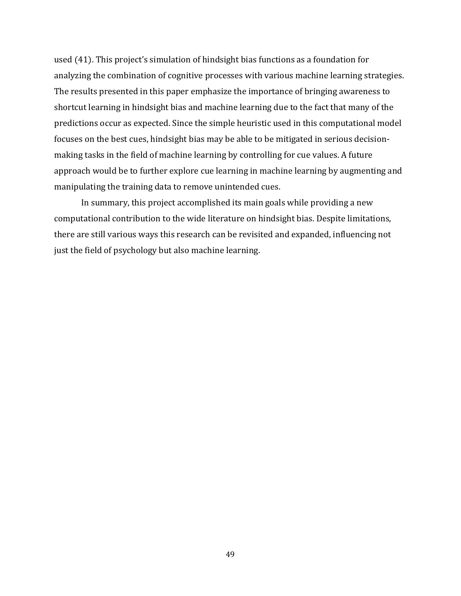used (41). This project's simulation of hindsight bias functions as a foundation for analyzing the combination of cognitive processes with various machine learning strategies. The results presented in this paper emphasize the importance of bringing awareness to shortcut learning in hindsight bias and machine learning due to the fact that many of the predictions occur as expected. Since the simple heuristic used in this computational model focuses on the best cues, hindsight bias may be able to be mitigated in serious decisionmaking tasks in the field of machine learning by controlling for cue values. A future approach would be to further explore cue learning in machine learning by augmenting and manipulating the training data to remove unintended cues.

In summary, this project accomplished its main goals while providing a new computational contribution to the wide literature on hindsight bias. Despite limitations, there are still various ways this research can be revisited and expanded, influencing not just the field of psychology but also machine learning.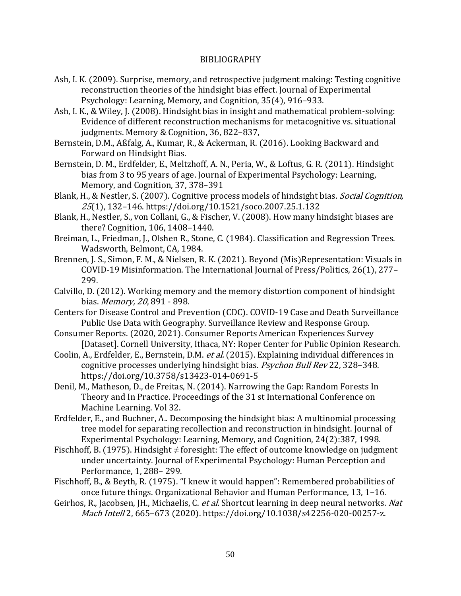# BIBLIOGRAPHY

- Ash, I. K. (2009). Surprise, memory, and retrospective judgment making: Testing cognitive reconstruction theories of the hindsight bias effect. Journal of Experimental Psychology: Learning, Memory, and Cognition, 35(4), 916–933.
- Ash, I. K., & Wiley, J. (2008). Hindsight bias in insight and mathematical problem-solving: Evidence of different reconstruction mechanisms for metacognitive vs. situational judgments. Memory & Cognition, 36, 822–837,
- Bernstein, D.M., Aßfalg, A., Kumar, R., & Ackerman, R. (2016). Looking Backward and Forward on Hindsight Bias.
- Bernstein, D. M., Erdfelder, E., Meltzhoff, A. N., Peria, W., & Loftus, G. R. (2011). Hindsight bias from 3 to 95 years of age. Journal of Experimental Psychology: Learning, Memory, and Cognition, 37, 378–391
- Blank, H., & Nestler, S. (2007). Cognitive process models of hindsight bias. Social Cognition, 25(1), 132–146. https://doi.org/10.1521/soco.2007.25.1.132
- Blank, H., Nestler, S., von Collani, G., & Fischer, V. (2008). How many hindsight biases are there? Cognition, 106, 1408–1440.
- Breiman, L., Friedman, J., Olshen R., Stone, C. (1984). Classification and Regression Trees. Wadsworth, Belmont, CA, 1984.
- Brennen, J. S., Simon, F. M., & Nielsen, R. K. (2021). Beyond (Mis)Representation: Visuals in COVID-19 Misinformation. The International Journal of Press/Politics, 26(1), 277– 299.
- Calvillo, D. (2012). Working memory and the memory distortion component of hindsight bias. Memory, 20, 891 - 898.
- Centers for Disease Control and Prevention (CDC). COVID-19 Case and Death Surveillance Public Use Data with Geography. Surveillance Review and Response Group.
- Consumer Reports. (2020, 2021). Consumer Reports American Experiences Survey [Dataset]. Cornell University, Ithaca, NY: Roper Center for Public Opinion Research.
- Coolin, A., Erdfelder, E., Bernstein, D.M. et al. (2015). Explaining individual differences in cognitive processes underlying hindsight bias. *Psychon Bull Rev* 22, 328–348. https://doi.org/10.3758/s13423-014-0691-5
- Denil, M., Matheson, D., de Freitas, N. (2014). Narrowing the Gap: Random Forests In Theory and In Practice. Proceedings of the 31 st International Conference on Machine Learning. Vol 32.
- Erdfelder, E., and Buchner, A.. Decomposing the hindsight bias: A multinomial processing tree model for separating recollection and reconstruction in hindsight. Journal of Experimental Psychology: Learning, Memory, and Cognition, 24(2):387, 1998.
- Fischhoff, B. (1975). Hindsight  $\neq$  foresight: The effect of outcome knowledge on judgment under uncertainty. Journal of Experimental Psychology: Human Perception and Performance, 1, 288– 299.
- Fischhoff, B., & Beyth, R. (1975). "I knew it would happen": Remembered probabilities of once future things. Organizational Behavior and Human Performance, 13, 1–16.
- Geirhos, R., Jacobsen, JH., Michaelis, C. et al. Shortcut learning in deep neural networks. Nat Mach Intell 2, 665–673 (2020). https://doi.org/10.1038/s42256-020-00257-z.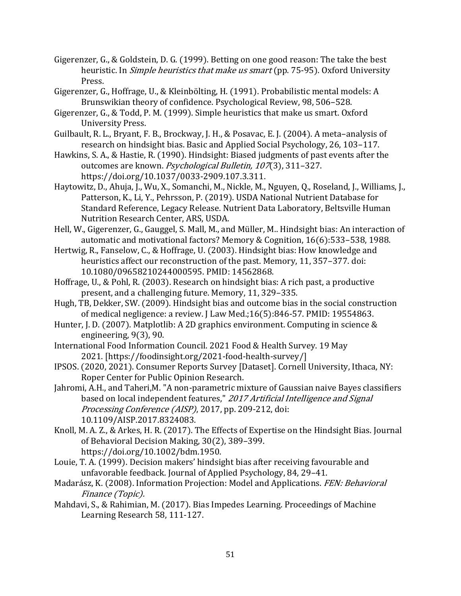- Gigerenzer, G., & Goldstein, D. G. (1999). Betting on one good reason: The take the best heuristic. In *Simple heuristics that make us smart* (pp. 75-95). Oxford University Press.
- Gigerenzer, G., Hoffrage, U., & Kleinbölting, H. (1991). Probabilistic mental models: A Brunswikian theory of confidence. Psychological Review, 98, 506–528.
- Gigerenzer, G., & Todd, P. M. (1999). Simple heuristics that make us smart. Oxford University Press.
- Guilbault, R. L., Bryant, F. B., Brockway, J. H., & Posavac, E. J. (2004). A meta–analysis of research on hindsight bias. Basic and Applied Social Psychology, 26, 103–117.
- Hawkins, S. A., & Hastie, R. (1990). Hindsight: Biased judgments of past events after the outcomes are known. Psychological Bulletin, 107(3), 311-327. https://doi.org/10.1037/0033-2909.107.3.311.
- Haytowitz, D., Ahuja, J., Wu, X., Somanchi, M., Nickle, M., Nguyen, Q., Roseland, J., Williams, J., Patterson, K., Li, Y., Pehrsson, P. (2019). USDA National Nutrient Database for Standard Reference, Legacy Release. Nutrient Data Laboratory, Beltsville Human Nutrition Research Center, ARS, USDA.
- Hell, W., Gigerenzer, G., Gauggel, S. Mall, M., and Müller, M.. Hindsight bias: An interaction of automatic and motivational factors? Memory & Cognition, 16(6):533–538, 1988.
- Hertwig, R., Fanselow, C., & Hoffrage, U. (2003). Hindsight bias: How knowledge and heuristics affect our reconstruction of the past. Memory, 11, 357–377. doi: 10.1080/09658210244000595. PMID: 14562868.
- Hoffrage, U., & Pohl, R. (2003). Research on hindsight bias: A rich past, a productive present, and a challenging future. Memory, 11, 329–335.
- Hugh, TB, Dekker, SW. (2009). Hindsight bias and outcome bias in the social construction of medical negligence: a review. J Law Med.;16(5):846-57. PMID: 19554863.
- Hunter, J. D. (2007). Matplotlib: A 2D graphics environment. Computing in science & engineering, 9(3), 90.
- International Food Information Council. 2021 Food & Health Survey. 19 May 2021. [https://foodinsight.org/2021-food-health-survey/]
- IPSOS. (2020, 2021). Consumer Reports Survey [Dataset]. Cornell University, Ithaca, NY: Roper Center for Public Opinion Research.
- Jahromi, A.H., and Taheri,M. "A non-parametric mixture of Gaussian naive Bayes classifiers based on local independent features," 2017 Artificial Intelligence and Signal Processing Conference (AISP), 2017, pp. 209-212, doi: 10.1109/AISP.2017.8324083.
- Knoll, M. A. Z., & Arkes, H. R. (2017). The Effects of Expertise on the Hindsight Bias. Journal of Behavioral Decision Making, 30(2), 389–399. https://doi.org/10.1002/bdm.1950.
- Louie, T. A. (1999). Decision makers' hindsight bias after receiving favourable and unfavorable feedback. Journal of Applied Psychology, 84, 29–41.
- Madarász, K. (2008). Information Projection: Model and Applications. FEN: Behavioral Finance (Topic).
- Mahdavi, S., & Rahimian, M. (2017). Bias Impedes Learning. Proceedings of Machine Learning Research 58, 111-127.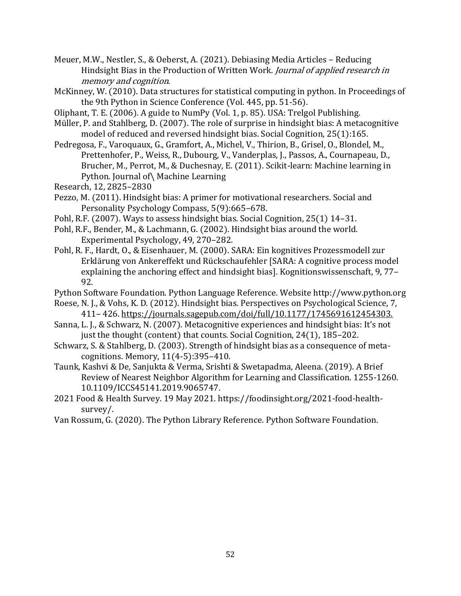Meuer, M.W., Nestler, S., & Oeberst, A. (2021). Debiasing Media Articles – Reducing Hindsight Bias in the Production of Written Work. Journal of applied research in memory and cognition.

McKinney, W. (2010). Data structures for statistical computing in python. In Proceedings of the 9th Python in Science Conference (Vol. 445, pp. 51-56).

Oliphant, T. E. (2006). A guide to NumPy (Vol. 1, p. 85). USA: Trelgol Publishing.

- Müller, P. and Stahlberg, D. (2007). The role of surprise in hindsight bias: A metacognitive model of reduced and reversed hindsight bias. Social Cognition, 25(1):165.
- Pedregosa, F., Varoquaux, G., Gramfort, A., Michel, V., Thirion, B., Grisel, O., Blondel, M., Prettenhofer, P., Weiss, R., Dubourg, V., Vanderplas, J., Passos, A., Cournapeau, D., Brucher, M., Perrot, M., & Duchesnay, E. (2011). Scikit-learn: Machine learning in Python. Journal of\ Machine Learning
- Research, 12, 2825–2830
- Pezzo, M. (2011). Hindsight bias: A primer for motivational researchers. Social and Personality Psychology Compass, 5(9):665–678.
- Pohl, R.F. (2007). Ways to assess hindsight bias. Social Cognition, 25(1) 14–31.
- Pohl, R.F., Bender, M., & Lachmann, G. (2002). Hindsight bias around the world. Experimental Psychology, 49, 270–282.
- Pohl, R. F., Hardt, O., & Eisenhauer, M. (2000). SARA: Ein kognitives Prozessmodell zur Erklärung von Ankereffekt und Rückschaufehler [SARA: A cognitive process model explaining the anchoring effect and hindsight bias]. Kognitionswissenschaft, 9, 77– 92.

Python Software Foundation. Python Language Reference. Website http://www.python.org

- Roese, N. J., & Vohs, K. D. (2012). Hindsight bias. Perspectives on Psychological Science, 7, 411– 426. https://journals.sagepub.com/doi/full/10.1177/1745691612454303.
- Sanna, L. J., & Schwarz, N. (2007). Metacognitive experiences and hindsight bias: It's not just the thought (content) that counts. Social Cognition, 24(1), 185–202.

Schwarz, S. & Stahlberg, D. (2003). Strength of hindsight bias as a consequence of metacognitions. Memory, 11(4-5):395–410.

- Taunk, Kashvi & De, Sanjukta & Verma, Srishti & Swetapadma, Aleena. (2019). A Brief Review of Nearest Neighbor Algorithm for Learning and Classification. 1255-1260. 10.1109/ICCS45141.2019.9065747.
- 2021 Food & Health Survey. 19 May 2021. https://foodinsight.org/2021-food-healthsurvey/.
- Van Rossum, G. (2020). The Python Library Reference. Python Software Foundation.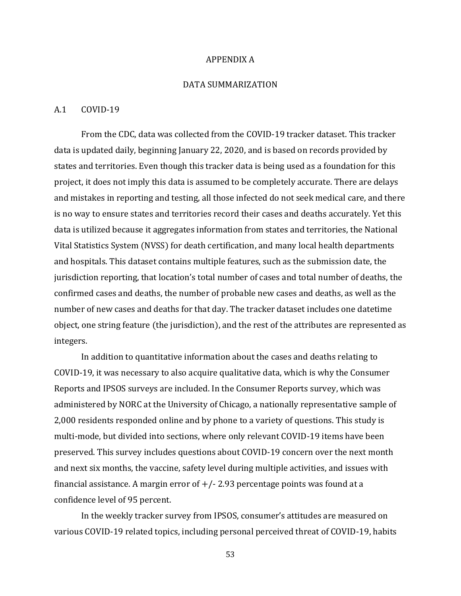#### APPENDIX A

## DATA SUMMARIZATION

#### A.1 COVID-19

From the CDC, data was collected from the COVID-19 tracker dataset. This tracker data is updated daily, beginning January 22, 2020, and is based on records provided by states and territories. Even though this tracker data is being used as a foundation for this project, it does not imply this data is assumed to be completely accurate. There are delays and mistakes in reporting and testing, all those infected do not seek medical care, and there is no way to ensure states and territories record their cases and deaths accurately. Yet this data is utilized because it aggregates information from states and territories, the National Vital Statistics System (NVSS) for death certification, and many local health departments and hospitals. This dataset contains multiple features, such as the submission date, the jurisdiction reporting, that location's total number of cases and total number of deaths, the confirmed cases and deaths, the number of probable new cases and deaths, as well as the number of new cases and deaths for that day. The tracker dataset includes one datetime object, one string feature (the jurisdiction), and the rest of the attributes are represented as integers.

In addition to quantitative information about the cases and deaths relating to COVID-19, it was necessary to also acquire qualitative data, which is why the Consumer Reports and IPSOS surveys are included. In the Consumer Reports survey, which was administered by NORC at the University of Chicago, a nationally representative sample of 2,000 residents responded online and by phone to a variety of questions. This study is multi-mode, but divided into sections, where only relevant COVID-19 items have been preserved. This survey includes questions about COVID-19 concern over the next month and next six months, the vaccine, safety level during multiple activities, and issues with financial assistance. A margin error of  $+/-$  2.93 percentage points was found at a confidence level of 95 percent.

In the weekly tracker survey from IPSOS, consumer's attitudes are measured on various COVID-19 related topics, including personal perceived threat of COVID-19, habits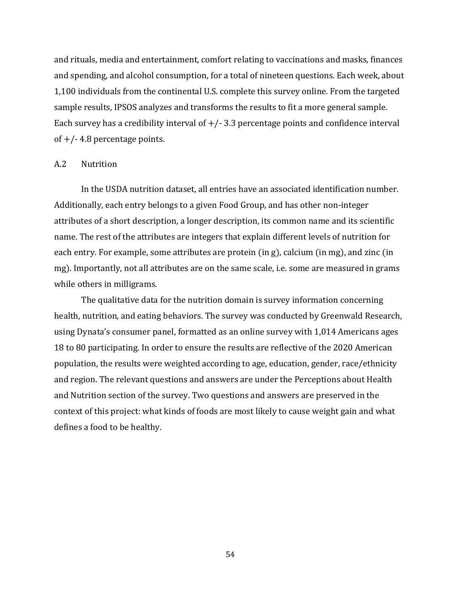and rituals, media and entertainment, comfort relating to vaccinations and masks, finances and spending, and alcohol consumption, for a total of nineteen questions. Each week, about 1,100 individuals from the continental U.S. complete this survey online. From the targeted sample results, IPSOS analyzes and transforms the results to fit a more general sample. Each survey has a credibility interval of  $+/-$  3.3 percentage points and confidence interval of  $+/- 4.8$  percentage points.

#### A.2 Nutrition

In the USDA nutrition dataset, all entries have an associated identification number. Additionally, each entry belongs to a given Food Group, and has other non-integer attributes of a short description, a longer description, its common name and its scientific name. The rest of the attributes are integers that explain different levels of nutrition for each entry. For example, some attributes are protein (in g), calcium (in mg), and zinc (in mg). Importantly, not all attributes are on the same scale, i.e. some are measured in grams while others in milligrams.

The qualitative data for the nutrition domain is survey information concerning health, nutrition, and eating behaviors. The survey was conducted by Greenwald Research, using Dynata's consumer panel, formatted as an online survey with 1,014 Americans ages 18 to 80 participating. In order to ensure the results are reflective of the 2020 American population, the results were weighted according to age, education, gender, race/ethnicity and region. The relevant questions and answers are under the Perceptions about Health and Nutrition section of the survey. Two questions and answers are preserved in the context of this project: what kinds of foods are most likely to cause weight gain and what defines a food to be healthy.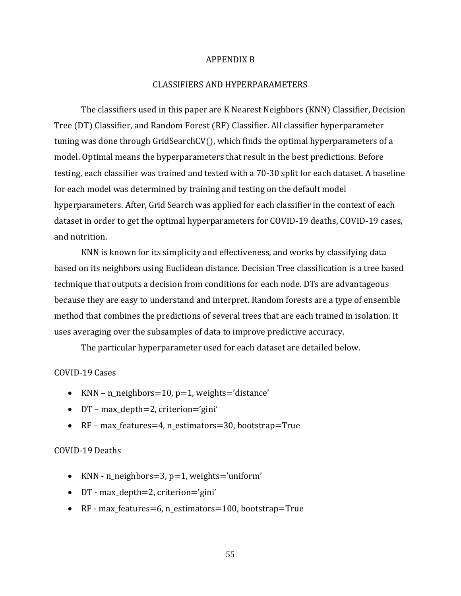#### APPENDIX B

# CLASSIFIERS AND HYPERPARAMETERS

The classifiers used in this paper are K Nearest Neighbors (KNN) Classifier, Decision Tree (DT) Classifier, and Random Forest (RF) Classifier. All classifier hyperparameter tuning was done through GridSearchCV(), which finds the optimal hyperparameters of a model. Optimal means the hyperparameters that result in the best predictions. Before testing, each classifier was trained and tested with a 70-30 split for each dataset. A baseline for each model was determined by training and testing on the default model hyperparameters. After, Grid Search was applied for each classifier in the context of each dataset in order to get the optimal hyperparameters for COVID-19 deaths, COVID-19 cases, and nutrition.

KNN is known for its simplicity and effectiveness, and works by classifying data based on its neighbors using Euclidean distance. Decision Tree classification is a tree based technique that outputs a decision from conditions for each node. DTs are advantageous because they are easy to understand and interpret. Random forests are a type of ensemble method that combines the predictions of several trees that are each trained in isolation. It uses averaging over the subsamples of data to improve predictive accuracy.

The particular hyperparameter used for each dataset are detailed below.

# COVID-19 Cases

- KNN n\_neighbors=10,  $p=1$ , weights='distance'
- DT max\_depth=2, criterion='gini'
- RF max\_features=4, n\_estimators=30, bootstrap=True

## COVID-19 Deaths

- KNN n\_neighbors=3, p=1, weights='uniform'
- DT max\_depth=2, criterion='gini'
- RF max\_features=6, n\_estimators=100, bootstrap=True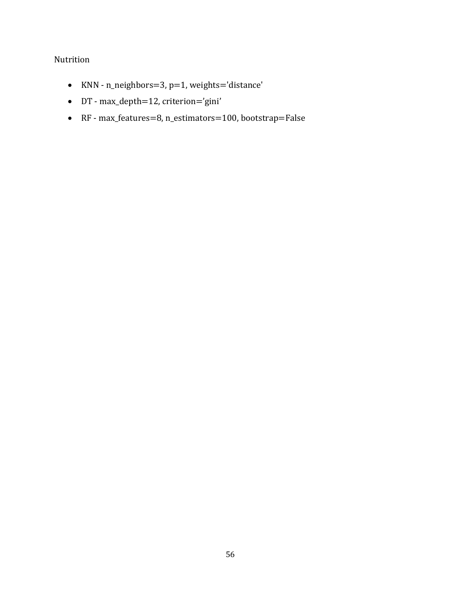# Nutrition

- KNN n\_neighbors=3, p=1, weights='distance'
- DT max\_depth=12, criterion='gini'
- RF max\_features=8, n\_estimators=100, bootstrap=False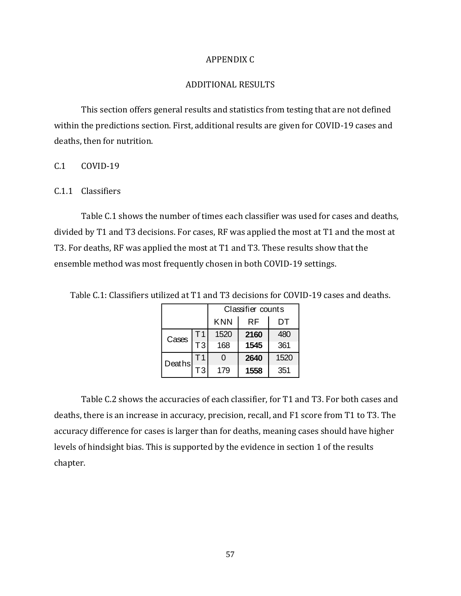## APPENDIX C

# ADDITIONAL RESULTS

This section offers general results and statistics from testing that are not defined within the predictions section. First, additional results are given for COVID-19 cases and deaths, then for nutrition.

# C.1 COVID-19

# C.1.1 Classifiers

Table C.1 shows the number of times each classifier was used for cases and deaths, divided by T1 and T3 decisions. For cases, RF was applied the most at T1 and the most at T3. For deaths, RF was applied the most at T1 and T3. These results show that the ensemble method was most frequently chosen in both COVID-19 settings.

Table C.1: Classifiers utilized at T1 and T3 decisions for COVID-19 cases and deaths.

|        |    | Classifier counts |      |      |  |  |
|--------|----|-------------------|------|------|--|--|
|        |    | <b>KNN</b>        | RF   | DТ   |  |  |
| Cases  | Т1 | 1520              | 2160 | 480  |  |  |
|        | T3 | 168               | 1545 | 361  |  |  |
| Deaths | Т1 | ი                 | 2640 | 1520 |  |  |
|        | TЗ | 179               | 1558 | 351  |  |  |

Table C.2 shows the accuracies of each classifier, for T1 and T3. For both cases and deaths, there is an increase in accuracy, precision, recall, and F1 score from T1 to T3. The accuracy difference for cases is larger than for deaths, meaning cases should have higher levels of hindsight bias. This is supported by the evidence in section 1 of the results chapter.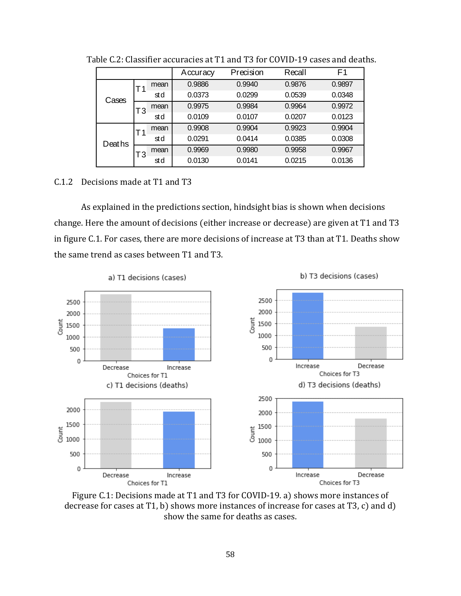|        |    |      | Accuracy | Precision | Recall | F <sub>1</sub> |
|--------|----|------|----------|-----------|--------|----------------|
|        |    | mean | 0.9886   | 0.9940    | 0.9876 | 0.9897         |
| Cases  |    | std  | 0.0373   | 0.0299    | 0.0539 | 0.0348         |
|        | T3 | mean | 0.9975   | 0.9984    | 0.9964 | 0.9972         |
|        |    | std  | 0.0109   | 0.0107    | 0.0207 | 0.0123         |
|        |    | mean | 0.9908   | 0.9904    | 0.9923 | 0.9904         |
| Deaths |    | std  | 0.0291   | 0.0414    | 0.0385 | 0.0308         |
|        | T3 | mean | 0.9969   | 0.9980    | 0.9958 | 0.9967         |
|        |    | std  | 0.0130   | 0.0141    | 0.0215 | 0.0136         |

Table C.2: Classifier accuracies at T1 and T3 for COVID-19 cases and deaths.

## C.1.2 Decisions made at T1 and T3

As explained in the predictions section, hindsight bias is shown when decisions change. Here the amount of decisions (either increase or decrease) are given at T1 and T3 in figure C.1. For cases, there are more decisions of increase at T3 than at T1. Deaths show the same trend as cases between T1 and T3.



Figure C.1: Decisions made at T1 and T3 for COVID-19. a) shows more instances of decrease for cases at T1, b) shows more instances of increase for cases at T3, c) and d) show the same for deaths as cases.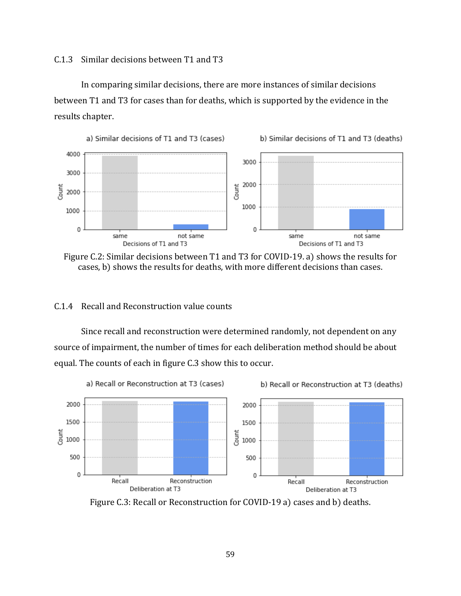# C.1.3 Similar decisions between T1 and T3

In comparing similar decisions, there are more instances of similar decisions between T1 and T3 for cases than for deaths, which is supported by the evidence in the results chapter.



Figure C.2: Similar decisions between T1 and T3 for COVID-19. a) shows the results for cases, b) shows the results for deaths, with more different decisions than cases.

## C.1.4 Recall and Reconstruction value counts

Since recall and reconstruction were determined randomly, not dependent on any source of impairment, the number of times for each deliberation method should be about equal. The counts of each in figure C.3 show this to occur.



Figure C.3: Recall or Reconstruction for COVID-19 a) cases and b) deaths.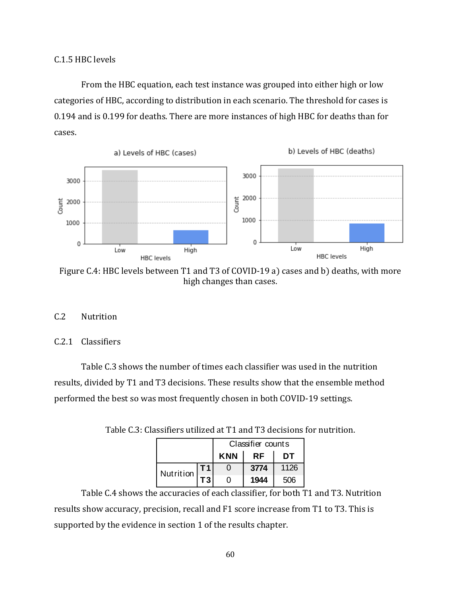From the HBC equation, each test instance was grouped into either high or low categories of HBC, according to distribution in each scenario. The threshold for cases is 0.194 and is 0.199 for deaths. There are more instances of high HBC for deaths than for cases.



Figure C.4: HBC levels between T1 and T3 of COVID-19 a) cases and b) deaths, with more high changes than cases.

# C.2 Nutrition

## C.2.1 Classifiers

Table C.3 shows the number of times each classifier was used in the nutrition results, divided by T1 and T3 decisions. These results show that the ensemble method performed the best so was most frequently chosen in both COVID-19 settings.

|           |                | Classifier counts |           |      |  |  |
|-----------|----------------|-------------------|-----------|------|--|--|
|           |                | <b>KNN</b>        | <b>RF</b> | DT   |  |  |
| Nutrition |                |                   | 3774      | 1126 |  |  |
|           | T <sub>3</sub> |                   | 1944      | 506  |  |  |

Table C.3: Classifiers utilized at T1 and T3 decisions for nutrition.

Table C.4 shows the accuracies of each classifier, for both T1 and T3. Nutrition results show accuracy, precision, recall and F1 score increase from T1 to T3. This is supported by the evidence in section 1 of the results chapter.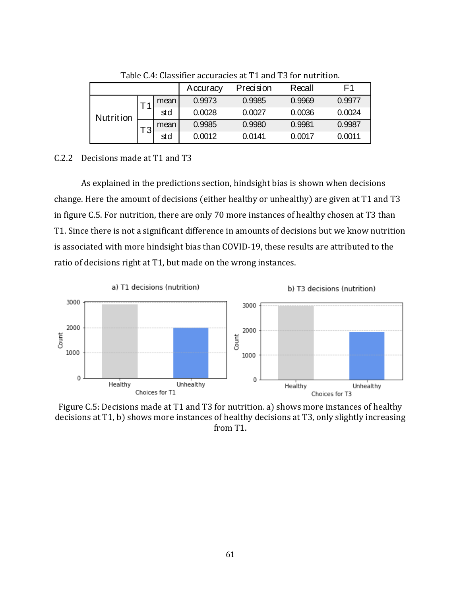|           |    |      | Accuracy | Precision | Recall | F1     |
|-----------|----|------|----------|-----------|--------|--------|
|           |    | mean | 0.9973   | 0.9985    | 0.9969 | 0.9977 |
| Nutrition |    | std  | 0.0028   | 0.0027    | 0.0036 | 0.0024 |
|           | тາ | mean | 0.9985   | 0.9980    | 0.9981 | 0.9987 |
|           |    | std  | 0.0012   | 0.0141    | 0.0017 | 0.0011 |

Table C.4: Classifier accuracies at T1 and T3 for nutrition.

## C.2.2 Decisions made at T1 and T3

As explained in the predictions section, hindsight bias is shown when decisions change. Here the amount of decisions (either healthy or unhealthy) are given at T1 and T3 in figure C.5. For nutrition, there are only 70 more instances of healthy chosen at T3 than T1. Since there is not a significant difference in amounts of decisions but we know nutrition is associated with more hindsight bias than COVID-19, these results are attributed to the ratio of decisions right at T1, but made on the wrong instances.



Figure C.5: Decisions made at T1 and T3 for nutrition. a) shows more instances of healthy decisions at T1, b) shows more instances of healthy decisions at T3, only slightly increasing from T1.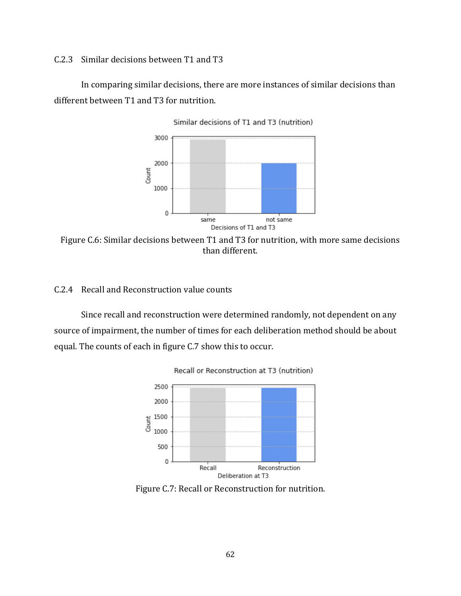C.2.3 Similar decisions between T1 and T3

In comparing similar decisions, there are more instances of similar decisions than different between T1 and T3 for nutrition.



Figure C.6: Similar decisions between T1 and T3 for nutrition, with more same decisions than different.

# C.2.4 Recall and Reconstruction value counts

Since recall and reconstruction were determined randomly, not dependent on any source of impairment, the number of times for each deliberation method should be about equal. The counts of each in figure C.7 show this to occur.





Figure C.7: Recall or Reconstruction for nutrition.